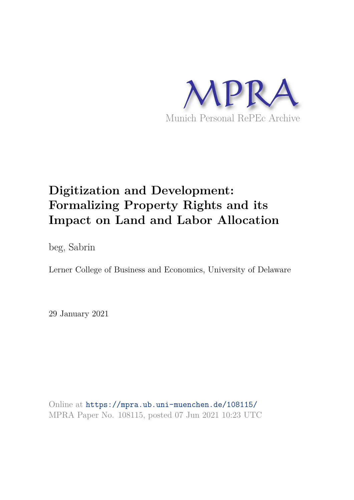

# **Digitization and Development: Formalizing Property Rights and its Impact on Land and Labor Allocation**

beg, Sabrin

Lerner College of Business and Economics, University of Delaware

29 January 2021

Online at https://mpra.ub.uni-muenchen.de/108115/ MPRA Paper No. 108115, posted 07 Jun 2021 10:23 UTC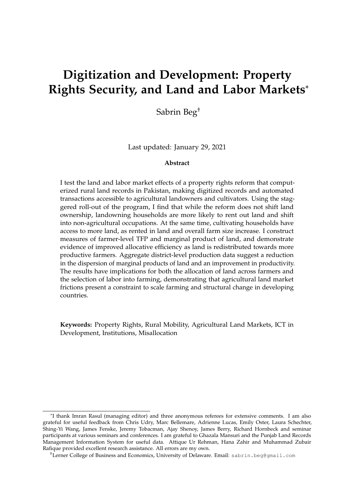# **Digitization and Development: Property Rights Security, and Land and Labor Markets**\*

Sabrin Beg†

Last updated: January 29, 2021

#### **Abstract**

I test the land and labor market effects of a property rights reform that computerized rural land records in Pakistan, making digitized records and automated transactions accessible to agricultural landowners and cultivators. Using the staggered roll-out of the program, I find that while the reform does not shift land ownership, landowning households are more likely to rent out land and shift into non-agricultural occupations. At the same time, cultivating households have access to more land, as rented in land and overall farm size increase. I construct measures of farmer-level TFP and marginal product of land, and demonstrate evidence of improved allocative efficiency as land is redistributed towards more productive farmers. Aggregate district-level production data suggest a reduction in the dispersion of marginal products of land and an improvement in productivity. The results have implications for both the allocation of land across farmers and the selection of labor into farming, demonstrating that agricultural land market frictions present a constraint to scale farming and structural change in developing countries.

**Keywords:** Property Rights, Rural Mobility, Agricultural Land Markets, ICT in Development, Institutions, Misallocation

<sup>\*</sup>I thank Imran Rasul (managing editor) and three anonymous referees for extensive comments. I am also grateful for useful feedback from Chris Udry, Marc Bellemare, Adrienne Lucas, Emily Oster, Laura Schechter, Shing-Yi Wang, James Fenske, Jeremy Tobacman, Ajay Shenoy, James Berry, Richard Hornbeck and seminar participants at various seminars and conferences. I am grateful to Ghazala Mansuri and the Punjab Land Records Management Information System for useful data. Attique Ur Rehman, Hana Zahir and Muhammad Zubair Rafique provided excellent research assistance. All errors are my own.

<sup>†</sup>Lerner College of Business and Economics, University of Delaware. Email: sabrin.beg@gmail.com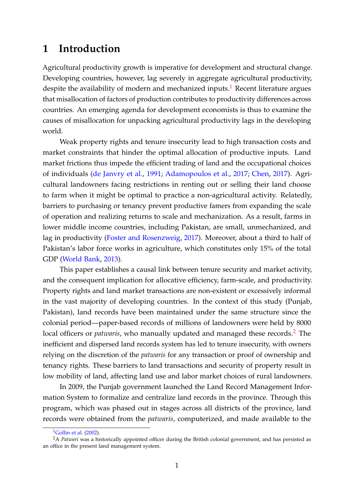# **1 Introduction**

Agricultural productivity growth is imperative for development and structural change. Developing countries, however, lag severely in aggregate agricultural productivity, despite the availability of modern and mechanized inputs.<sup>1</sup> Recent literature argues that misallocation of factors of production contributes to productivity differences across countries. An emerging agenda for development economists is thus to examine the causes of misallocation for unpacking agricultural productivity lags in the developing world.

Weak property rights and tenure insecurity lead to high transaction costs and market constraints that hinder the optimal allocation of productive inputs. Land market frictions thus impede the efficient trading of land and the occupational choices of individuals (de Janvry et al., 1991; Adamopoulos et al., 2017; Chen, 2017). Agricultural landowners facing restrictions in renting out or selling their land choose to farm when it might be optimal to practice a non-agricultural activity. Relatedly, barriers to purchasing or tenancy prevent productive famers from expanding the scale of operation and realizing returns to scale and mechanization. As a result, farms in lower middle income countries, including Pakistan, are small, unmechanized, and lag in productivity (Foster and Rosenzweig, 2017). Moreover, about a third to half of Pakistan's labor force works in agriculture, which constitutes only 15% of the total GDP (World Bank, 2013).

This paper establishes a causal link between tenure security and market activity, and the consequent implication for allocative efficiency, farm-scale, and productivity. Property rights and land market transactions are non-existent or excessively informal in the vast majority of developing countries. In the context of this study (Punjab, Pakistan), land records have been maintained under the same structure since the colonial period—paper-based records of millions of landowners were held by 8000 local officers or *patwaris*, who manually updated and managed these records.<sup>2</sup> The inefficient and dispersed land records system has led to tenure insecurity, with owners relying on the discretion of the *patwaris* for any transaction or proof of ownership and tenancy rights. These barriers to land transactions and security of property result in low mobility of land, affecting land use and labor market choices of rural landowners.

In 2009, the Punjab government launched the Land Record Management Information System to formalize and centralize land records in the province. Through this program, which was phased out in stages across all districts of the province, land records were obtained from the *patwaris*, computerized, and made available to the

 $1$ Gollin et al. (2002).

<sup>2</sup>A *Patwari* was a historically appointed officer during the British colonial government, and has persisted as an office in the present land management system.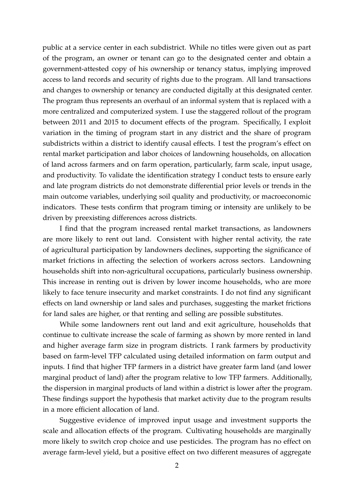public at a service center in each subdistrict. While no titles were given out as part of the program, an owner or tenant can go to the designated center and obtain a government-attested copy of his ownership or tenancy status, implying improved access to land records and security of rights due to the program. All land transactions and changes to ownership or tenancy are conducted digitally at this designated center. The program thus represents an overhaul of an informal system that is replaced with a more centralized and computerized system. I use the staggered rollout of the program between 2011 and 2015 to document effects of the program. Specifically, I exploit variation in the timing of program start in any district and the share of program subdistricts within a district to identify causal effects. I test the program's effect on rental market participation and labor choices of landowning households, on allocation of land across farmers and on farm operation, particularly, farm scale, input usage, and productivity. To validate the identification strategy I conduct tests to ensure early and late program districts do not demonstrate differential prior levels or trends in the main outcome variables, underlying soil quality and productivity, or macroeconomic indicators. These tests confirm that program timing or intensity are unlikely to be driven by preexisting differences across districts.

I find that the program increased rental market transactions, as landowners are more likely to rent out land. Consistent with higher rental activity, the rate of agricultural participation by landowners declines, supporting the significance of market frictions in affecting the selection of workers across sectors. Landowning households shift into non-agricultural occupations, particularly business ownership. This increase in renting out is driven by lower income households, who are more likely to face tenure insecurity and market constraints. I do not find any significant effects on land ownership or land sales and purchases, suggesting the market frictions for land sales are higher, or that renting and selling are possible substitutes.

While some landowners rent out land and exit agriculture, households that continue to cultivate increase the scale of farming as shown by more rented in land and higher average farm size in program districts. I rank farmers by productivity based on farm-level TFP calculated using detailed information on farm output and inputs. I find that higher TFP farmers in a district have greater farm land (and lower marginal product of land) after the program relative to low TFP farmers. Additionally, the dispersion in marginal products of land within a district is lower after the program. These findings support the hypothesis that market activity due to the program results in a more efficient allocation of land.

Suggestive evidence of improved input usage and investment supports the scale and allocation effects of the program. Cultivating households are marginally more likely to switch crop choice and use pesticides. The program has no effect on average farm-level yield, but a positive effect on two different measures of aggregate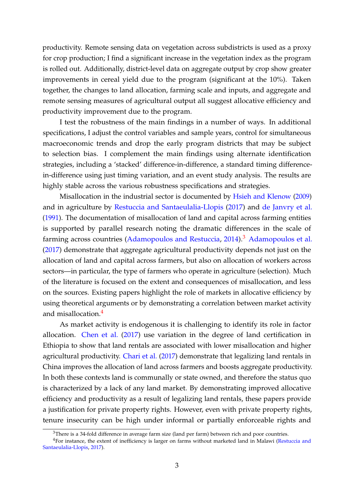productivity. Remote sensing data on vegetation across subdistricts is used as a proxy for crop production; I find a significant increase in the vegetation index as the program is rolled out. Additionally, district-level data on aggregate output by crop show greater improvements in cereal yield due to the program (significant at the 10%). Taken together, the changes to land allocation, farming scale and inputs, and aggregate and remote sensing measures of agricultural output all suggest allocative efficiency and productivity improvement due to the program.

I test the robustness of the main findings in a number of ways. In additional specifications, I adjust the control variables and sample years, control for simultaneous macroeconomic trends and drop the early program districts that may be subject to selection bias. I complement the main findings using alternate identification strategies, including a 'stacked' difference-in-difference, a standard timing differencein-difference using just timing variation, and an event study analysis. The results are highly stable across the various robustness specifications and strategies.

Misallocation in the industrial sector is documented by Hsieh and Klenow (2009) and in agriculture by Restuccia and Santaeulalia-Llopis (2017) and de Janvry et al. (1991). The documentation of misallocation of land and capital across farming entities is supported by parallel research noting the dramatic differences in the scale of farming across countries (Adamopoulos and Restuccia, 2014).<sup>3</sup> Adamopoulos et al. (2017) demonstrate that aggregate agricultural productivity depends not just on the allocation of land and capital across farmers, but also on allocation of workers across sectors—in particular, the type of farmers who operate in agriculture (selection). Much of the literature is focused on the extent and consequences of misallocation, and less on the sources. Existing papers highlight the role of markets in allocative efficiency by using theoretical arguments or by demonstrating a correlation between market activity and misallocation.<sup>4</sup>

As market activity is endogenous it is challenging to identify its role in factor allocation. Chen et al. (2017) use variation in the degree of land certification in Ethiopia to show that land rentals are associated with lower misallocation and higher agricultural productivity. Chari et al. (2017) demonstrate that legalizing land rentals in China improves the allocation of land across farmers and boosts aggregate productivity. In both these contexts land is communally or state owned, and therefore the status quo is characterized by a lack of any land market. By demonstrating improved allocative efficiency and productivity as a result of legalizing land rentals, these papers provide a justification for private property rights. However, even with private property rights, tenure insecurity can be high under informal or partially enforceable rights and

 $3$ There is a 34-fold difference in average farm size (land per farm) between rich and poor countries.

<sup>&</sup>lt;sup>4</sup>For instance, the extent of inefficiency is larger on farms without marketed land in Malawi (Restuccia and Santaeulalia-Llopis, 2017).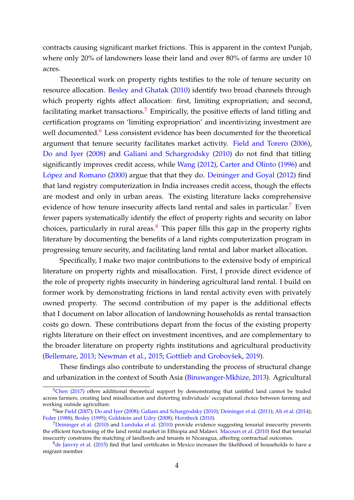contracts causing significant market frictions. This is apparent in the context Punjab, where only 20% of landowners lease their land and over 80% of farms are under 10 acres.

Theoretical work on property rights testifies to the role of tenure security on resource allocation. Besley and Ghatak (2010) identify two broad channels through which property rights affect allocation: first, limiting expropriation; and second, facilitating market transactions.<sup>5</sup> Empirically, the positive effects of land titling and certification programs on 'limiting expropriation' and incentivizing investment are well documented.<sup>6</sup> Less consistent evidence has been documented for the theoretical argument that tenure security facilitates market activity. Field and Torero (2006), Do and Iyer (2008) and Galiani and Schargrodsky (2010) do not find that titling significantly improves credit access, while Wang (2012), Carter and Olinto (1996) and López and Romano (2000) argue that that they do. Deininger and Goyal (2012) find that land registry computerization in India increases credit access, though the effects are modest and only in urban areas. The existing literature lacks comprehensive evidence of how tenure insecurity affects land rental and sales in particular.<sup>7</sup> Even fewer papers systematically identify the effect of property rights and security on labor choices, particularly in rural areas. $8$  This paper fills this gap in the property rights literature by documenting the benefits of a land rights computerization program in progressing tenure security, and facilitating land rental and labor market allocation.

Specifically, I make two major contributions to the extensive body of empirical literature on property rights and misallocation. First, I provide direct evidence of the role of property rights insecurity in hindering agricultural land rental. I build on former work by demonstrating frictions in land rental activity even with privately owned property. The second contribution of my paper is the additional effects that I document on labor allocation of landowning households as rental transaction costs go down. These contributions depart from the focus of the existing property rights literature on their effect on investment incentives, and are complementary to the broader literature on property rights institutions and agricultural productivity (Bellemare, 2013; Newman et al., 2015; Gottlieb and Grobovšek, 2019).

These findings also contribute to understanding the process of structural change and urbanization in the context of South Asia (Binswanger-Mkhize, 2013). Agricultural

 $5$ Chen (2017) offers additional theoretical support by demonstrating that untitled land cannot be traded across farmers, creating land misallocation and distorting individuals' occupational choice between farming and working outside agriculture.

<sup>&</sup>lt;sup>6</sup>See Field (2007); Do and Iyer (2008); Galiani and Schargrodsky (2010); Deininger et al. (2011); Ali et al. (2014); Feder (1988); Besley (1995); Goldstein and Udry (2008); Hornbeck (2010).

 $7$ Deininger et al. (2010) and Lunduka et al. (2010) provide evidence suggesting tenurial insecurity prevents the efficient functioning of the land rental market in Ethiopia and Malawi. Macours et al. (2010) find that tenurial insecurity constrains the matching of landlords and tenants in Nicaragua, affecting contractual outcomes.

 $8$ de Janvry et al. (2015) find that land certificates in Mexico increases the likelihood of households to have a migrant member.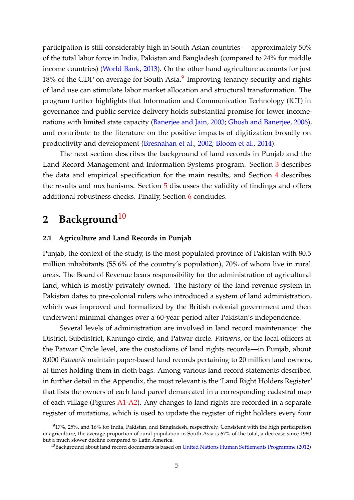participation is still considerably high in South Asian countries — approximately 50% of the total labor force in India, Pakistan and Bangladesh (compared to 24% for middle income countries) (World Bank, 2013). On the other hand agriculture accounts for just 18% of the GDP on average for South Asia.<sup>9</sup> Improving tenancy security and rights of land use can stimulate labor market allocation and structural transformation. The program further highlights that Information and Communication Technology (ICT) in governance and public service delivery holds substantial promise for lower incomenations with limited state capacity (Banerjee and Jain, 2003; Ghosh and Banerjee, 2006), and contribute to the literature on the positive impacts of digitization broadly on productivity and development (Bresnahan et al., 2002; Bloom et al., 2014).

The next section describes the background of land records in Punjab and the Land Record Management and Information Systems program. Section 3 describes the data and empirical specification for the main results, and Section 4 describes the results and mechanisms. Section 5 discusses the validity of findings and offers additional robustness checks. Finally, Section 6 concludes.

# 2 Background<sup>10</sup>

### **2.1 Agriculture and Land Records in Punjab**

Punjab, the context of the study, is the most populated province of Pakistan with 80.5 million inhabitants (55.6% of the country's population), 70% of whom live in rural areas. The Board of Revenue bears responsibility for the administration of agricultural land, which is mostly privately owned. The history of the land revenue system in Pakistan dates to pre-colonial rulers who introduced a system of land administration, which was improved and formalized by the British colonial government and then underwent minimal changes over a 60-year period after Pakistan's independence.

Several levels of administration are involved in land record maintenance: the District, Subdistrict, Kanungo circle, and Patwar circle. *Patwaris*, or the local officers at the Patwar Circle level, are the custodians of land rights records—in Punjab, about 8,000 *Patwaris* maintain paper-based land records pertaining to 20 million land owners, at times holding them in cloth bags. Among various land record statements described in further detail in the Appendix, the most relevant is the 'Land Right Holders Register' that lists the owners of each land parcel demarcated in a corresponding cadastral map of each village (Figures A1-A2). Any changes to land rights are recorded in a separate register of mutations, which is used to update the register of right holders every four

 $917%$ , 25%, and 16% for India, Pakistan, and Bangladesh, respectively. Consistent with the high participation in agriculture, the average proportion of rural population in South Asia is 67% of the total, a decrease since 1960 but a much slower decline compared to Latin America.

 $10B$ ackground about land record documents is based on United Nations Human Settlements Programme (2012)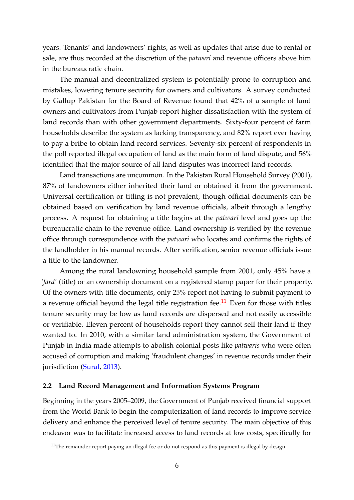years. Tenants' and landowners' rights, as well as updates that arise due to rental or sale, are thus recorded at the discretion of the *patwari* and revenue officers above him in the bureaucratic chain.

The manual and decentralized system is potentially prone to corruption and mistakes, lowering tenure security for owners and cultivators. A survey conducted by Gallup Pakistan for the Board of Revenue found that 42% of a sample of land owners and cultivators from Punjab report higher dissatisfaction with the system of land records than with other government departments. Sixty-four percent of farm households describe the system as lacking transparency, and 82% report ever having to pay a bribe to obtain land record services. Seventy-six percent of respondents in the poll reported illegal occupation of land as the main form of land dispute, and 56% identified that the major source of all land disputes was incorrect land records.

Land transactions are uncommon. In the Pakistan Rural Household Survey (2001), 87% of landowners either inherited their land or obtained it from the government. Universal certification or titling is not prevalent, though official documents can be obtained based on verification by land revenue officials, albeit through a lengthy process. A request for obtaining a title begins at the *patwari* level and goes up the bureaucratic chain to the revenue office. Land ownership is verified by the revenue office through correspondence with the *patwari* who locates and confirms the rights of the landholder in his manual records. After verification, senior revenue officials issue a title to the landowner.

Among the rural landowning household sample from 2001, only 45% have a *'fard'* (title) or an ownership document on a registered stamp paper for their property. Of the owners with title documents, only 25% report not having to submit payment to a revenue official beyond the legal title registration fee.<sup>11</sup> Even for those with titles tenure security may be low as land records are dispersed and not easily accessible or verifiable. Eleven percent of households report they cannot sell their land if they wanted to. In 2010, with a similar land administration system, the Government of Punjab in India made attempts to abolish colonial posts like *patwaris* who were often accused of corruption and making 'fraudulent changes' in revenue records under their jurisdiction (Sural, 2013).

## **2.2 Land Record Management and Information Systems Program**

Beginning in the years 2005–2009, the Government of Punjab received financial support from the World Bank to begin the computerization of land records to improve service delivery and enhance the perceived level of tenure security. The main objective of this endeavor was to facilitate increased access to land records at low costs, specifically for

 $11$ The remainder report paying an illegal fee or do not respond as this payment is illegal by design.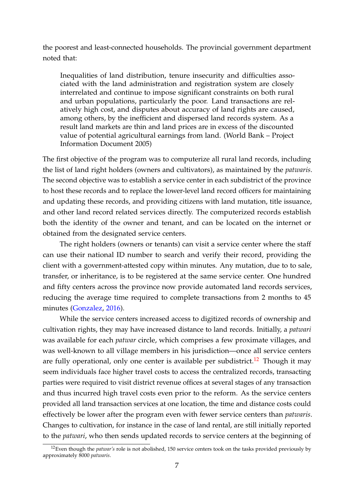the poorest and least-connected households. The provincial government department noted that:

Inequalities of land distribution, tenure insecurity and difficulties associated with the land administration and registration system are closely interrelated and continue to impose significant constraints on both rural and urban populations, particularly the poor. Land transactions are relatively high cost, and disputes about accuracy of land rights are caused, among others, by the inefficient and dispersed land records system. As a result land markets are thin and land prices are in excess of the discounted value of potential agricultural earnings from land. (World Bank – Project Information Document 2005)

The first objective of the program was to computerize all rural land records, including the list of land right holders (owners and cultivators), as maintained by the *patwaris*. The second objective was to establish a service center in each subdistrict of the province to host these records and to replace the lower-level land record officers for maintaining and updating these records, and providing citizens with land mutation, title issuance, and other land record related services directly. The computerized records establish both the identity of the owner and tenant, and can be located on the internet or obtained from the designated service centers.

The right holders (owners or tenants) can visit a service center where the staff can use their national ID number to search and verify their record, providing the client with a government-attested copy within minutes. Any mutation, due to to sale, transfer, or inheritance, is to be registered at the same service center. One hundred and fifty centers across the province now provide automated land records services, reducing the average time required to complete transactions from 2 months to 45 minutes (Gonzalez, 2016).

While the service centers increased access to digitized records of ownership and cultivation rights, they may have increased distance to land records. Initially, a *patwari* was available for each *patwar* circle, which comprises a few proximate villages, and was well-known to all village members in his jurisdiction—once all service centers are fully operational, only one center is available per subdistrict.<sup>12</sup> Though it may seem individuals face higher travel costs to access the centralized records, transacting parties were required to visit district revenue offices at several stages of any transaction and thus incurred high travel costs even prior to the reform. As the service centers provided all land transaction services at one location, the time and distance costs could effectively be lower after the program even with fewer service centers than *patwaris*. Changes to cultivation, for instance in the case of land rental, are still initially reported to the *patwari*, who then sends updated records to service centers at the beginning of

<sup>12</sup>Even though the *patwar's* role is not abolished, 150 service centers took on the tasks provided previously by approximately 8000 *patwaris*.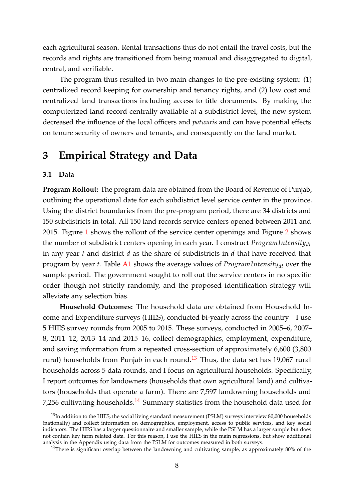each agricultural season. Rental transactions thus do not entail the travel costs, but the records and rights are transitioned from being manual and disaggregated to digital, central, and verifiable.

The program thus resulted in two main changes to the pre-existing system: (1) centralized record keeping for ownership and tenancy rights, and (2) low cost and centralized land transactions including access to title documents. By making the computerized land record centrally available at a subdistrict level, the new system decreased the influence of the local officers and *patwaris* and can have potential effects on tenure security of owners and tenants, and consequently on the land market.

# **3 Empirical Strategy and Data**

### **3.1 Data**

**Program Rollout:** The program data are obtained from the Board of Revenue of Punjab, outlining the operational date for each subdistrict level service center in the province. Using the district boundaries from the pre-program period, there are 34 districts and 150 subdistricts in total. All 150 land records service centers opened between 2011 and 2015. Figure 1 shows the rollout of the service center openings and Figure 2 shows the number of subdistrict centers opening in each year. I construct *ProgramIntensitydt* in any year *t* and district *d* as the share of subdistricts in *d* that have received that program by year *t*. Table A1 shows the average values of *ProgramIntensitydt* over the sample period. The government sought to roll out the service centers in no specific order though not strictly randomly, and the proposed identification strategy will alleviate any selection bias.

**Household Outcomes:** The household data are obtained from Household Income and Expenditure surveys (HIES), conducted bi-yearly across the country—I use 5 HIES survey rounds from 2005 to 2015. These surveys, conducted in 2005–6, 2007– 8, 2011–12, 2013–14 and 2015–16, collect demographics, employment, expenditure, and saving information from a repeated cross-section of approximately 6,600 (3,800 rural) households from Punjab in each round.<sup>13</sup> Thus, the data set has 19,067 rural households across 5 data rounds, and I focus on agricultural households. Specifically, I report outcomes for landowners (households that own agricultural land) and cultivators (households that operate a farm). There are 7,597 landowning households and 7,256 cultivating households.<sup>14</sup> Summary statistics from the household data used for

<sup>&</sup>lt;sup>13</sup>In addition to the HIES, the social living standard measurement (PSLM) surveys interview 80,000 households (nationally) and collect information on demographics, employment, access to public services, and key social indicators. The HIES has a larger questionnaire and smaller sample, while the PSLM has a larger sample but does not contain key farm related data. For this reason, I use the HIES in the main regressions, but show additional analysis in the Appendix using data from the PSLM for outcomes measured in both surveys.

<sup>&</sup>lt;sup>14</sup>There is significant overlap between the landowning and cultivating sample, as approximately 80% of the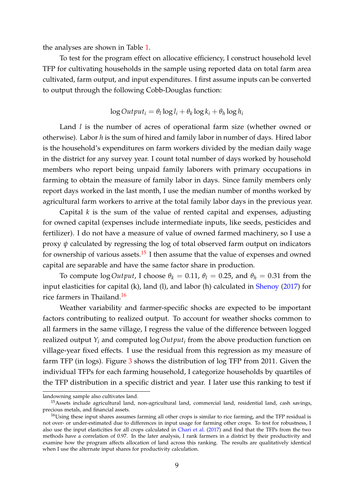the analyses are shown in Table 1.

To test for the program effect on allocative efficiency, I construct household level TFP for cultivating households in the sample using reported data on total farm area cultivated, farm output, and input expenditures. I first assume inputs can be converted to output through the following Cobb-Douglas function:

$$
\log Output_i = \theta_l \log l_i + \theta_k \log k_i + \theta_h \log h_i
$$

Land *l* is the number of acres of operational farm size (whether owned or otherwise). Labor *h* is the sum of hired and family labor in number of days. Hired labor is the household's expenditures on farm workers divided by the median daily wage in the district for any survey year. I count total number of days worked by household members who report being unpaid family laborers with primary occupations in farming to obtain the measure of family labor in days. Since family members only report days worked in the last month, I use the median number of months worked by agricultural farm workers to arrive at the total family labor days in the previous year.

Capital *k* is the sum of the value of rented capital and expenses, adjusting for owned capital (expenses include intermediate inputs, like seeds, pesticides and fertilizer). I do not have a measure of value of owned farmed machinery, so I use a proxy *ψ* calculated by regressing the log of total observed farm output on indicators for ownership of various assets. $15$  I then assume that the value of expenses and owned capital are separable and have the same factor share in production.

To compute  $\log Output$ , I choose  $\theta_k = 0.11$ ,  $\theta_l = 0.25$ , and  $\theta_h = 0.31$  from the input elasticities for capital (k), land (l), and labor (h) calculated in Shenoy (2017) for rice farmers in Thailand.<sup>16</sup>

Weather variability and farmer-specific shocks are expected to be important factors contributing to realized output. To account for weather shocks common to all farmers in the same village, I regress the value of the difference between logged realized output *Y<sup>i</sup>* and computed log*Output<sup>i</sup>* from the above production function on village-year fixed effects. I use the residual from this regression as my measure of farm TFP (in logs). Figure 3 shows the distribution of log TFP from 2011. Given the individual TFPs for each farming household, I categorize households by quartiles of the TFP distribution in a specific district and year. I later use this ranking to test if

landowning sample also cultivates land.

<sup>&</sup>lt;sup>15</sup>Assets include agricultural land, non-agricultural land, commercial land, residential land, cash savings, precious metals, and financial assets.

<sup>&</sup>lt;sup>16</sup>Using these input shares assumes farming all other crops is similar to rice farming, and the TFP residual is not over- or under-estimated due to differences in input usage for farming other crops. To test for robustness, I also use the input elasticities for all crops calculated in Chari et al. (2017) and find that the TFPs from the two methods have a correlation of 0.97. In the later analysis, I rank farmers in a district by their productivity and examine how the program affects allocation of land across this ranking. The results are qualitatively identical when I use the alternate input shares for productivity calculation.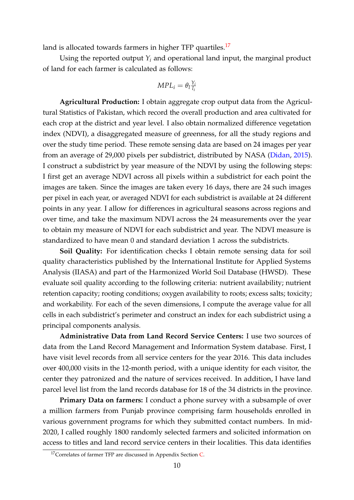land is allocated towards farmers in higher TFP quartiles. $^{17}$ 

Using the reported output  $Y_i$  and operational land input, the marginal product of land for each farmer is calculated as follows:

$$
MPI_i = \theta_l \frac{Y_i}{I_i}
$$

**Agricultural Production:** I obtain aggregate crop output data from the Agricultural Statistics of Pakistan, which record the overall production and area cultivated for each crop at the district and year level. I also obtain normalized difference vegetation index (NDVI), a disaggregated measure of greenness, for all the study regions and over the study time period. These remote sensing data are based on 24 images per year from an average of 29,000 pixels per subdistrict, distributed by NASA (Didan, 2015). I construct a subdistrict by year measure of the NDVI by using the following steps: I first get an average NDVI across all pixels within a subdistrict for each point the images are taken. Since the images are taken every 16 days, there are 24 such images per pixel in each year, or averaged NDVI for each subdistrict is available at 24 different points in any year. I allow for differences in agricultural seasons across regions and over time, and take the maximum NDVI across the 24 measurements over the year to obtain my measure of NDVI for each subdistrict and year. The NDVI measure is standardized to have mean 0 and standard deviation 1 across the subdistricts.

**Soil Quality:** For identification checks I obtain remote sensing data for soil quality characteristics published by the International Institute for Applied Systems Analysis (IIASA) and part of the Harmonized World Soil Database (HWSD). These evaluate soil quality according to the following criteria: nutrient availability; nutrient retention capacity; rooting conditions; oxygen availability to roots; excess salts; toxicity; and workability. For each of the seven dimensions, I compute the average value for all cells in each subdistrict's perimeter and construct an index for each subdistrict using a principal components analysis.

**Administrative Data from Land Record Service Centers:** I use two sources of data from the Land Record Management and Information System database. First, I have visit level records from all service centers for the year 2016. This data includes over 400,000 visits in the 12-month period, with a unique identity for each visitor, the center they patronized and the nature of services received. In addition, I have land parcel level list from the land records database for 18 of the 34 districts in the province.

**Primary Data on farmers:** I conduct a phone survey with a subsample of over a million farmers from Punjab province comprising farm households enrolled in various government programs for which they submitted contact numbers. In mid-2020, I called roughly 1800 randomly selected farmers and solicited information on access to titles and land record service centers in their localities. This data identifies

<sup>&</sup>lt;sup>17</sup>Correlates of farmer TFP are discussed in Appendix Section C.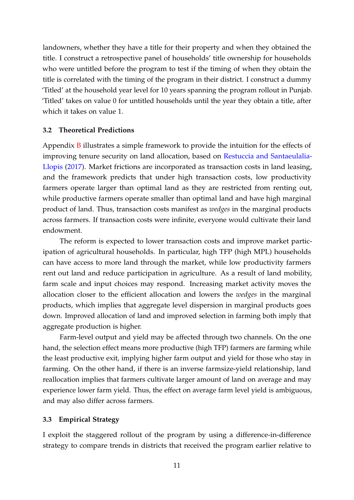landowners, whether they have a title for their property and when they obtained the title. I construct a retrospective panel of households' title ownership for households who were untitled before the program to test if the timing of when they obtain the title is correlated with the timing of the program in their district. I construct a dummy 'Titled' at the household year level for 10 years spanning the program rollout in Punjab. 'Titled' takes on value 0 for untitled households until the year they obtain a title, after which it takes on value 1.

### **3.2 Theoretical Predictions**

Appendix B illustrates a simple framework to provide the intuition for the effects of improving tenure security on land allocation, based on Restuccia and Santaeulalia-Llopis (2017). Market frictions are incorporated as transaction costs in land leasing, and the framework predicts that under high transaction costs, low productivity farmers operate larger than optimal land as they are restricted from renting out, while productive farmers operate smaller than optimal land and have high marginal product of land. Thus, transaction costs manifest as *wedges* in the marginal products across farmers. If transaction costs were infinite, everyone would cultivate their land endowment.

The reform is expected to lower transaction costs and improve market participation of agricultural households. In particular, high TFP (high MPL) households can have access to more land through the market, while low productivity farmers rent out land and reduce participation in agriculture. As a result of land mobility, farm scale and input choices may respond. Increasing market activity moves the allocation closer to the efficient allocation and lowers the *wedges* in the marginal products, which implies that aggregate level dispersion in marginal products goes down. Improved allocation of land and improved selection in farming both imply that aggregate production is higher.

Farm-level output and yield may be affected through two channels. On the one hand, the selection effect means more productive (high TFP) farmers are farming while the least productive exit, implying higher farm output and yield for those who stay in farming. On the other hand, if there is an inverse farmsize-yield relationship, land reallocation implies that farmers cultivate larger amount of land on average and may experience lower farm yield. Thus, the effect on average farm level yield is ambiguous, and may also differ across farmers.

#### **3.3 Empirical Strategy**

I exploit the staggered rollout of the program by using a difference-in-difference strategy to compare trends in districts that received the program earlier relative to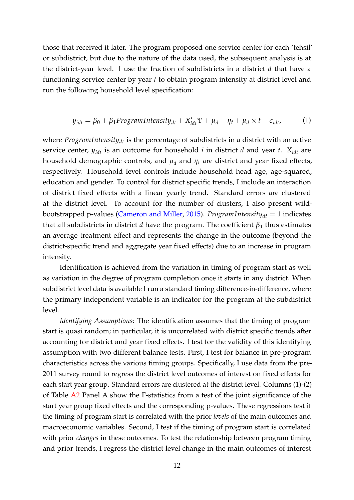those that received it later. The program proposed one service center for each 'tehsil' or subdistrict, but due to the nature of the data used, the subsequent analysis is at the district-year level. I use the fraction of subdistricts in a district *d* that have a functioning service center by year *t* to obtain program intensity at district level and run the following household level specification:

$$
y_{idt} = \beta_0 + \beta_1 ProgramIntensity_{dt} + X'_{idt} \Psi + \mu_d + \eta_t + \mu_d \times t + \epsilon_{idt},
$$
 (1)

where *ProgramIntensity*<sup>*dt*</sup> is the percentage of subdistricts in a district with an active service center,  $y_{idt}$  is an outcome for household *i* in district *d* and year *t*.  $X_{idt}$  are household demographic controls, and  $\mu_d$  and  $\eta_t$  are district and year fixed effects, respectively. Household level controls include household head age, age-squared, education and gender. To control for district specific trends, I include an interaction of district fixed effects with a linear yearly trend. Standard errors are clustered at the district level. To account for the number of clusters, I also present wildbootstrapped p-values (Cameron and Miller, 2015). *ProgramIntensitydt* = 1 indicates that all subdistricts in district *d* have the program. The coefficient  $\beta_1$  thus estimates an average treatment effect and represents the change in the outcome (beyond the district-specific trend and aggregate year fixed effects) due to an increase in program intensity.

Identification is achieved from the variation in timing of program start as well as variation in the degree of program completion once it starts in any district. When subdistrict level data is available I run a standard timing difference-in-difference, where the primary independent variable is an indicator for the program at the subdistrict level.

*Identifying Assumptions*: The identification assumes that the timing of program start is quasi random; in particular, it is uncorrelated with district specific trends after accounting for district and year fixed effects. I test for the validity of this identifying assumption with two different balance tests. First, I test for balance in pre-program characteristics across the various timing groups. Specifically, I use data from the pre-2011 survey round to regress the district level outcomes of interest on fixed effects for each start year group. Standard errors are clustered at the district level. Columns (1)-(2) of Table A2 Panel A show the F-statistics from a test of the joint significance of the start year group fixed effects and the corresponding p-values. These regressions test if the timing of program start is correlated with the prior *levels* of the main outcomes and macroeconomic variables. Second, I test if the timing of program start is correlated with prior *changes* in these outcomes. To test the relationship between program timing and prior trends, I regress the district level change in the main outcomes of interest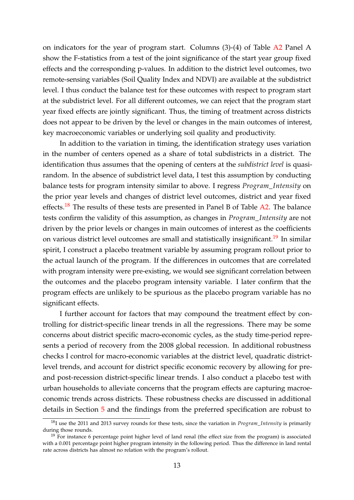on indicators for the year of program start. Columns (3)-(4) of Table A2 Panel A show the F-statistics from a test of the joint significance of the start year group fixed effects and the corresponding p-values. In addition to the district level outcomes, two remote-sensing variables (Soil Quality Index and NDVI) are available at the subdistrict level. I thus conduct the balance test for these outcomes with respect to program start at the subdistrict level. For all different outcomes, we can reject that the program start year fixed effects are jointly significant. Thus, the timing of treatment across districts does not appear to be driven by the level or changes in the main outcomes of interest, key macroeconomic variables or underlying soil quality and productivity.

In addition to the variation in timing, the identification strategy uses variation in the number of centers opened as a share of total subdistricts in a district. The identification thus assumes that the opening of centers at the *subdistrict level* is quasirandom. In the absence of subdistrict level data, I test this assumption by conducting balance tests for program intensity similar to above. I regress *Program*\_*Intensity* on the prior year levels and changes of district level outcomes, district and year fixed effects.<sup>18</sup> The results of these tests are presented in Panel B of Table  $A2$ . The balance tests confirm the validity of this assumption, as changes in *Program*\_*Intensity* are not driven by the prior levels or changes in main outcomes of interest as the coefficients on various district level outcomes are small and statistically insignificant.<sup>19</sup> In similar spirit, I construct a placebo treatment variable by assuming program rollout prior to the actual launch of the program. If the differences in outcomes that are correlated with program intensity were pre-existing, we would see significant correlation between the outcomes and the placebo program intensity variable. I later confirm that the program effects are unlikely to be spurious as the placebo program variable has no significant effects.

I further account for factors that may compound the treatment effect by controlling for district-specific linear trends in all the regressions. There may be some concerns about district specific macro-economic cycles, as the study time-period represents a period of recovery from the 2008 global recession. In additional robustness checks I control for macro-economic variables at the district level, quadratic districtlevel trends, and account for district specific economic recovery by allowing for preand post-recession district-specific linear trends. I also conduct a placebo test with urban households to alleviate concerns that the program effects are capturing macroeconomic trends across districts. These robustness checks are discussed in additional details in Section 5 and the findings from the preferred specification are robust to

<sup>18</sup>I use the 2011 and 2013 survey rounds for these tests, since the variation in *Program*\_*Intensity* is primarily during those rounds.

<sup>&</sup>lt;sup>19</sup> For instance 6 percentage point higher level of land renal (the effect size from the program) is associated with a 0.001 percentage point higher program intensity in the following period. Thus the difference in land rental rate across districts has almost no relation with the program's rollout.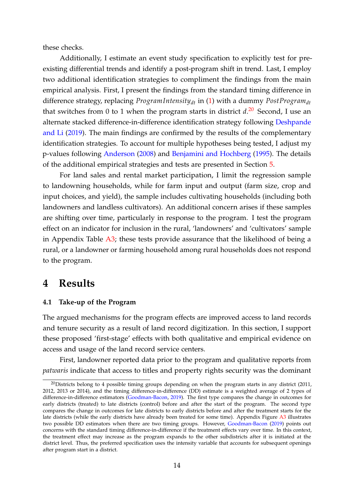these checks.

Additionally, I estimate an event study specification to explicitly test for preexisting differential trends and identify a post-program shift in trend. Last, I employ two additional identification strategies to compliment the findings from the main empirical analysis. First, I present the findings from the standard timing difference in difference strategy, replacing *ProgramIntensitydt* in (1) with a dummy *PostProgramdt* that switches from 0 to 1 when the program starts in district *d*. <sup>20</sup> Second, I use an alternate stacked difference-in-difference identification strategy following Deshpande and Li (2019). The main findings are confirmed by the results of the complementary identification strategies. To account for multiple hypotheses being tested, I adjust my p-values following Anderson (2008) and Benjamini and Hochberg (1995). The details of the additional empirical strategies and tests are presented in Section 5.

For land sales and rental market participation, I limit the regression sample to landowning households, while for farm input and output (farm size, crop and input choices, and yield), the sample includes cultivating households (including both landowners and landless cultivators). An additional concern arises if these samples are shifting over time, particularly in response to the program. I test the program effect on an indicator for inclusion in the rural, 'landowners' and 'cultivators' sample in Appendix Table A3; these tests provide assurance that the likelihood of being a rural, or a landowner or farming household among rural households does not respond to the program.

# **4 Results**

## **4.1 Take-up of the Program**

The argued mechanisms for the program effects are improved access to land records and tenure security as a result of land record digitization. In this section, I support these proposed 'first-stage' effects with both qualitative and empirical evidence on access and usage of the land record service centers.

First, landowner reported data prior to the program and qualitative reports from *patwaris* indicate that access to titles and property rights security was the dominant

<sup>&</sup>lt;sup>20</sup>Districts belong to 4 possible timing groups depending on when the program starts in any district (2011, 2012, 2013 or 2014), and the timing difference-in-difference (DD) estimate is a weighted average of 2 types of difference-in-difference estimators (Goodman-Bacon, 2019). The first type compares the change in outcomes for early districts (treated) to late districts (control) before and after the start of the program. The second type compares the change in outcomes for late districts to early districts before and after the treatment starts for the late districts (while the early districts have already been treated for some time). Appendix Figure A3 illustrates two possible DD estimators when there are two timing groups. However, Goodman-Bacon (2019) points out concerns with the standard timing difference-in-difference if the treatment effects vary over time. In this context, the treatment effect may increase as the program expands to the other subdistricts after it is initiated at the district level. Thus, the preferred specification uses the intensity variable that accounts for subsequent openings after program start in a district.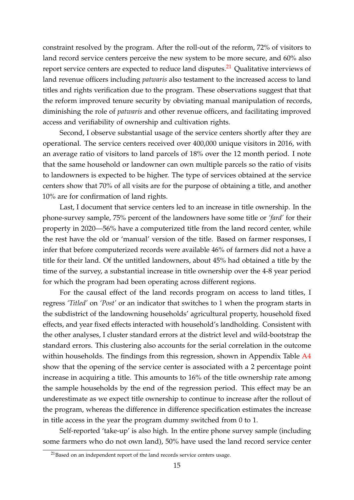constraint resolved by the program. After the roll-out of the reform, 72% of visitors to land record service centers perceive the new system to be more secure, and 60% also report service centers are expected to reduce land disputes.<sup>21</sup> Qualitative interviews of land revenue officers including *patwaris* also testament to the increased access to land titles and rights verification due to the program. These observations suggest that that the reform improved tenure security by obviating manual manipulation of records, diminishing the role of *patwaris* and other revenue officers, and facilitating improved access and verifiability of ownership and cultivation rights.

Second, I observe substantial usage of the service centers shortly after they are operational. The service centers received over 400,000 unique visitors in 2016, with an average ratio of visitors to land parcels of 18% over the 12 month period. I note that the same household or landowner can own multiple parcels so the ratio of visits to landowners is expected to be higher. The type of services obtained at the service centers show that 70% of all visits are for the purpose of obtaining a title, and another 10% are for confirmation of land rights.

Last, I document that service centers led to an increase in title ownership. In the phone-survey sample, 75% percent of the landowners have some title or *'fard'* for their property in 2020—56% have a computerized title from the land record center, while the rest have the old or 'manual' version of the title. Based on farmer responses, I infer that before computerized records were available 46% of farmers did not a have a title for their land. Of the untitled landowners, about 45% had obtained a title by the time of the survey, a substantial increase in title ownership over the 4-8 year period for which the program had been operating across different regions.

For the causal effect of the land records program on access to land titles, I regress *'Titled'* on *'Post'* or an indicator that switches to 1 when the program starts in the subdistrict of the landowning households' agricultural property, household fixed effects, and year fixed effects interacted with household's landholding. Consistent with the other analyses, I cluster standard errors at the district level and wild-bootstrap the standard errors. This clustering also accounts for the serial correlation in the outcome within households. The findings from this regression, shown in Appendix Table A4 show that the opening of the service center is associated with a 2 percentage point increase in acquiring a title. This amounts to 16% of the title ownership rate among the sample households by the end of the regression period. This effect may be an underestimate as we expect title ownership to continue to increase after the rollout of the program, whereas the difference in difference specification estimates the increase in title access in the year the program dummy switched from 0 to 1.

Self-reported 'take-up' is also high. In the entire phone survey sample (including some farmers who do not own land), 50% have used the land record service center

 $21$ Based on an independent report of the land records service centers usage.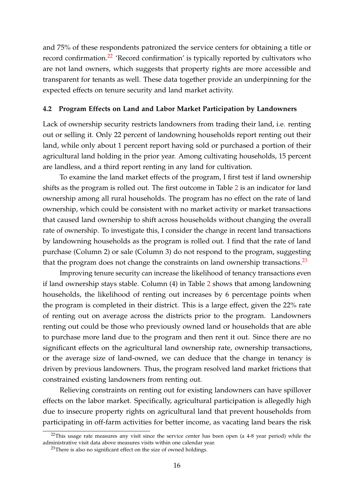and 75% of these respondents patronized the service centers for obtaining a title or record confirmation.<sup>22</sup> 'Record confirmation' is typically reported by cultivators who are not land owners, which suggests that property rights are more accessible and transparent for tenants as well. These data together provide an underpinning for the expected effects on tenure security and land market activity.

### **4.2 Program Effects on Land and Labor Market Participation by Landowners**

Lack of ownership security restricts landowners from trading their land, i.e. renting out or selling it. Only 22 percent of landowning households report renting out their land, while only about 1 percent report having sold or purchased a portion of their agricultural land holding in the prior year. Among cultivating households, 15 percent are landless, and a third report renting in any land for cultivation.

To examine the land market effects of the program, I first test if land ownership shifts as the program is rolled out. The first outcome in Table 2 is an indicator for land ownership among all rural households. The program has no effect on the rate of land ownership, which could be consistent with no market activity or market transactions that caused land ownership to shift across households without changing the overall rate of ownership. To investigate this, I consider the change in recent land transactions by landowning households as the program is rolled out. I find that the rate of land purchase (Column 2) or sale (Column 3) do not respond to the program, suggesting that the program does not change the constraints on land ownership transactions.<sup>23</sup>

Improving tenure security can increase the likelihood of tenancy transactions even if land ownership stays stable. Column (4) in Table 2 shows that among landowning households, the likelihood of renting out increases by 6 percentage points when the program is completed in their district. This is a large effect, given the 22% rate of renting out on average across the districts prior to the program. Landowners renting out could be those who previously owned land or households that are able to purchase more land due to the program and then rent it out. Since there are no significant effects on the agricultural land ownership rate, ownership transactions, or the average size of land-owned, we can deduce that the change in tenancy is driven by previous landowners. Thus, the program resolved land market frictions that constrained existing landowners from renting out.

Relieving constraints on renting out for existing landowners can have spillover effects on the labor market. Specifically, agricultural participation is allegedly high due to insecure property rights on agricultural land that prevent households from participating in off-farm activities for better income, as vacating land bears the risk

 $22$ This usage rate measures any visit since the service center has been open (a 4-8 year period) while the administrative visit data above measures visits within one calendar year.

<sup>&</sup>lt;sup>23</sup>There is also no significant effect on the size of owned holdings.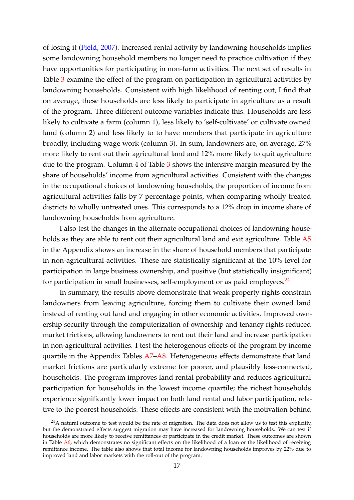of losing it (Field, 2007). Increased rental activity by landowning households implies some landowning household members no longer need to practice cultivation if they have opportunities for participating in non-farm activities. The next set of results in Table 3 examine the effect of the program on participation in agricultural activities by landowning households. Consistent with high likelihood of renting out, I find that on average, these households are less likely to participate in agriculture as a result of the program. Three different outcome variables indicate this. Households are less likely to cultivate a farm (column 1), less likely to 'self-cultivate' or cultivate owned land (column 2) and less likely to to have members that participate in agriculture broadly, including wage work (column 3). In sum, landowners are, on average, 27% more likely to rent out their agricultural land and 12% more likely to quit agriculture due to the program. Column 4 of Table 3 shows the intensive margin measured by the share of households' income from agricultural activities. Consistent with the changes in the occupational choices of landowning households, the proportion of income from agricultural activities falls by 7 percentage points, when comparing wholly treated districts to wholly untreated ones. This corresponds to a 12% drop in income share of landowning households from agriculture.

I also test the changes in the alternate occupational choices of landowning households as they are able to rent out their agricultural land and exit agriculture. Table A5 in the Appendix shows an increase in the share of household members that participate in non-agricultural activities. These are statistically significant at the 10% level for participation in large business ownership, and positive (but statistically insignificant) for participation in small businesses, self-employment or as paid employees. $^{24}$ 

In summary, the results above demonstrate that weak property rights constrain landowners from leaving agriculture, forcing them to cultivate their owned land instead of renting out land and engaging in other economic activities. Improved ownership security through the computerization of ownership and tenancy rights reduced market frictions, allowing landowners to rent out their land and increase participation in non-agricultural activities. I test the heterogenous effects of the program by income quartile in the Appendix Tables A7–A8. Heterogeneous effects demonstrate that land market frictions are particularly extreme for poorer, and plausibly less-connected, households. The program improves land rental probability and reduces agricultural participation for households in the lowest income quartile; the richest households experience significantly lower impact on both land rental and labor participation, relative to the poorest households. These effects are consistent with the motivation behind

<sup>&</sup>lt;sup>24</sup>A natural outcome to test would be the rate of migration. The data does not allow us to test this explicitly, but the demonstrated effects suggest migration may have increased for landowning households. We can test if households are more likely to receive remittances or participate in the credit market. These outcomes are shown in Table A6, which demonstrates no significant effects on the likelihood of a loan or the likelihood of receiving remittance income. The table also shows that total income for landowning households improves by 22% due to improved land and labor markets with the roll-out of the program.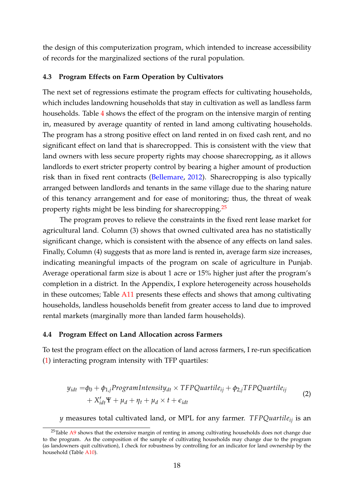the design of this computerization program, which intended to increase accessibility of records for the marginalized sections of the rural population.

### **4.3 Program Effects on Farm Operation by Cultivators**

The next set of regressions estimate the program effects for cultivating households, which includes landowning households that stay in cultivation as well as landless farm households. Table 4 shows the effect of the program on the intensive margin of renting in, measured by average quantity of rented in land among cultivating households. The program has a strong positive effect on land rented in on fixed cash rent, and no significant effect on land that is sharecropped. This is consistent with the view that land owners with less secure property rights may choose sharecropping, as it allows landlords to exert stricter property control by bearing a higher amount of production risk than in fixed rent contracts (Bellemare, 2012). Sharecropping is also typically arranged between landlords and tenants in the same village due to the sharing nature of this tenancy arrangement and for ease of monitoring; thus, the threat of weak property rights might be less binding for sharecropping.<sup>25</sup>

The program proves to relieve the constraints in the fixed rent lease market for agricultural land. Column (3) shows that owned cultivated area has no statistically significant change, which is consistent with the absence of any effects on land sales. Finally, Column (4) suggests that as more land is rented in, average farm size increases, indicating meaningful impacts of the program on scale of agriculture in Punjab. Average operational farm size is about 1 acre or 15% higher just after the program's completion in a district. In the Appendix, I explore heterogeneity across households in these outcomes; Table A11 presents these effects and shows that among cultivating households, landless households benefit from greater access to land due to improved rental markets (marginally more than landed farm households).

#### **4.4 Program Effect on Land Allocation across Farmers**

To test the program effect on the allocation of land across farmers, I re-run specification (1) interacting program intensity with TFP quartiles:

$$
y_{idt} = \phi_0 + \phi_{1,j} Program Intensity_{dt} \times TFPQuartile_{ij} + \phi_{2,j} TFPQuartile_{ij} + X'_{idt} \Psi + \mu_d + \eta_t + \mu_d \times t + \epsilon_{idt}
$$
\n
$$
(2)
$$

*y* measures total cultivated land, or MPL for any farmer. *TFPQuartileij* is an

 $25$ Table  $A9$  shows that the extensive margin of renting in among cultivating households does not change due to the program. As the composition of the sample of cultivating households may change due to the program (as landowners quit cultivation), I check for robustness by controlling for an indicator for land ownership by the household (Table A10).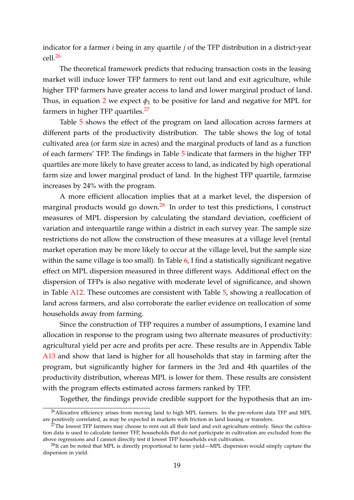indicator for a farmer *i* being in any quartile *j* of the TFP distribution in a district-year  $cell<sup>26</sup>$ 

The theoretical framework predicts that reducing transaction costs in the leasing market will induce lower TFP farmers to rent out land and exit agriculture, while higher TFP farmers have greater access to land and lower marginal product of land. Thus, in equation 2 we expect  $\phi_1$  to be positive for land and negative for MPL for farmers in higher TFP quartiles.<sup>27</sup>

Table 5 shows the effect of the program on land allocation across farmers at different parts of the productivity distribution. The table shows the log of total cultivated area (or farm size in acres) and the marginal products of land as a function of each farmers' TFP. The findings in Table 5 indicate that farmers in the higher TFP quartiles are more likely to have greater access to land, as indicated by high operational farm size and lower marginal product of land. In the highest TFP quartile, farmzise increases by 24% with the program.

A more efficient allocation implies that at a market level, the dispersion of marginal products would go down.<sup>28</sup> In order to test this predictions, I construct measures of MPL dispersion by calculating the standard deviation, coefficient of variation and interquartile range within a district in each survey year. The sample size restrictions do not allow the construction of these measures at a village level (rental market operation may be more likely to occur at the village level, but the sample size within the same village is too small). In Table 6, I find a statistically significant negative effect on MPL dispersion measured in three different ways. Additional effect on the dispersion of TFPs is also negative with moderate level of significance, and shown in Table A12. These outcomes are consistent with Table 5, showing a reallocation of land across farmers, and also corroborate the earlier evidence on reallocation of some households away from farming.

Since the construction of TFP requires a number of assumptions, I examine land allocation in response to the program using two alternate measures of productivity: agricultural yield per acre and profits per acre. These results are in Appendix Table A13 and show that land is higher for all households that stay in farming after the program, but significantly higher for farmers in the 3rd and 4th quartiles of the productivity distribution, whereas MPL is lower for them. These results are consistent with the program effects estimated across farmers ranked by TFP.

Together, the findings provide credible support for the hypothesis that an im-

<sup>&</sup>lt;sup>26</sup>Allocative efficiency arises from moving land to high MPL farmers. In the pre-reform data TFP and MPL are positively correlated, as may be expected in markets with friction in land leasing or transfers.

 $27$ The lowest TFP farmers may choose to rent out all their land and exit agriculture entirely. Since the cultivation data is used to calculate farmer TFP, households that do not participate in cultivation are excluded from the above regressions and I cannot directly test if lowest TFP households exit cultivation.

<sup>&</sup>lt;sup>28</sup>It can be noted that MPL is directly proportional to farm yield—MPL dispersion would simply capture the dispersion in yield.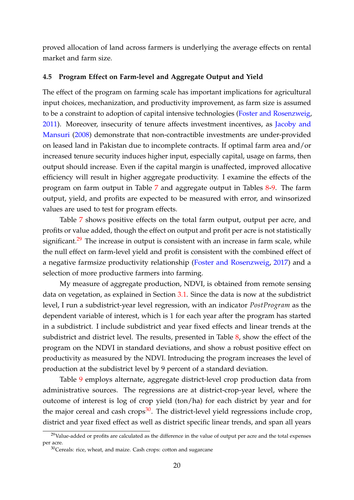proved allocation of land across farmers is underlying the average effects on rental market and farm size.

### **4.5 Program Effect on Farm-level and Aggregate Output and Yield**

The effect of the program on farming scale has important implications for agricultural input choices, mechanization, and productivity improvement, as farm size is assumed to be a constraint to adoption of capital intensive technologies (Foster and Rosenzweig, 2011). Moreover, insecurity of tenure affects investment incentives, as Jacoby and Mansuri (2008) demonstrate that non-contractible investments are under-provided on leased land in Pakistan due to incomplete contracts. If optimal farm area and/or increased tenure security induces higher input, especially capital, usage on farms, then output should increase. Even if the capital margin is unaffected, improved allocative efficiency will result in higher aggregate productivity. I examine the effects of the program on farm output in Table 7 and aggregate output in Tables 8-9. The farm output, yield, and profits are expected to be measured with error, and winsorized values are used to test for program effects.

Table 7 shows positive effects on the total farm output, output per acre, and profits or value added, though the effect on output and profit per acre is not statistically significant.<sup>29</sup> The increase in output is consistent with an increase in farm scale, while the null effect on farm-level yield and profit is consistent with the combined effect of a negative farmsize productivity relationship (Foster and Rosenzweig, 2017) and a selection of more productive farmers into farming.

My measure of aggregate production, NDVI, is obtained from remote sensing data on vegetation, as explained in Section 3.1. Since the data is now at the subdistrict level, I run a subdistrict-year level regression, with an indicator *PostProgram* as the dependent variable of interest, which is 1 for each year after the program has started in a subdistrict. I include subdistrict and year fixed effects and linear trends at the subdistrict and district level. The results, presented in Table 8, show the effect of the program on the NDVI in standard deviations, and show a robust positive effect on productivity as measured by the NDVI. Introducing the program increases the level of production at the subdistrict level by 9 percent of a standard deviation.

Table 9 employs alternate, aggregate district-level crop production data from administrative sources. The regressions are at district-crop-year level, where the outcome of interest is log of crop yield (ton/ha) for each district by year and for the major cereal and cash crops $30$ . The district-level yield regressions include crop, district and year fixed effect as well as district specific linear trends, and span all years

 $29$ Value-added or profits are calculated as the difference in the value of output per acre and the total expenses per acre.

<sup>&</sup>lt;sup>30</sup>Cereals: rice, wheat, and maize. Cash crops: cotton and sugarcane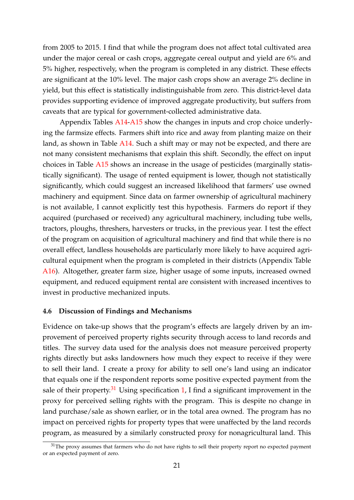from 2005 to 2015. I find that while the program does not affect total cultivated area under the major cereal or cash crops, aggregate cereal output and yield are 6% and 5% higher, respectively, when the program is completed in any district. These effects are significant at the 10% level. The major cash crops show an average 2% decline in yield, but this effect is statistically indistinguishable from zero. This district-level data provides supporting evidence of improved aggregate productivity, but suffers from caveats that are typical for government-collected administrative data.

Appendix Tables A14-A15 show the changes in inputs and crop choice underlying the farmsize effects. Farmers shift into rice and away from planting maize on their land, as shown in Table A14. Such a shift may or may not be expected, and there are not many consistent mechanisms that explain this shift. Secondly, the effect on input choices in Table A15 shows an increase in the usage of pesticides (marginally statistically significant). The usage of rented equipment is lower, though not statistically significantly, which could suggest an increased likelihood that farmers' use owned machinery and equipment. Since data on farmer ownership of agricultural machinery is not available, I cannot explicitly test this hypothesis. Farmers do report if they acquired (purchased or received) any agricultural machinery, including tube wells, tractors, ploughs, threshers, harvesters or trucks, in the previous year. I test the effect of the program on acquisition of agricultural machinery and find that while there is no overall effect, landless households are particularly more likely to have acquired agricultural equipment when the program is completed in their districts (Appendix Table A16). Altogether, greater farm size, higher usage of some inputs, increased owned equipment, and reduced equipment rental are consistent with increased incentives to invest in productive mechanized inputs.

#### **4.6 Discussion of Findings and Mechanisms**

Evidence on take-up shows that the program's effects are largely driven by an improvement of perceived property rights security through access to land records and titles. The survey data used for the analysis does not measure perceived property rights directly but asks landowners how much they expect to receive if they were to sell their land. I create a proxy for ability to sell one's land using an indicator that equals one if the respondent reports some positive expected payment from the sale of their property.<sup>31</sup> Using specification 1, I find a significant improvement in the proxy for perceived selling rights with the program. This is despite no change in land purchase/sale as shown earlier, or in the total area owned. The program has no impact on perceived rights for property types that were unaffected by the land records program, as measured by a similarly constructed proxy for nonagricultural land. This

 $31$ The proxy assumes that farmers who do not have rights to sell their property report no expected payment or an expected payment of zero.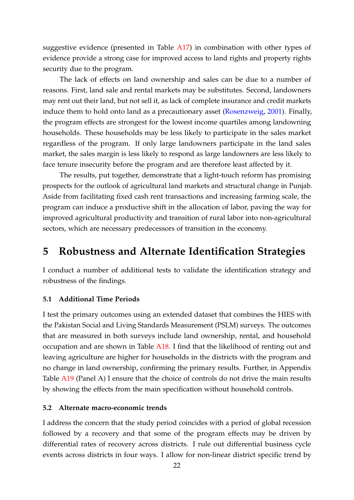suggestive evidence (presented in Table A17) in combination with other types of evidence provide a strong case for improved access to land rights and property rights security due to the program.

The lack of effects on land ownership and sales can be due to a number of reasons. First, land sale and rental markets may be substitutes. Second, landowners may rent out their land, but not sell it, as lack of complete insurance and credit markets induce them to hold onto land as a precautionary asset (Rosenzweig, 2001). Finally, the program effects are strongest for the lowest income quartiles among landowning households. These households may be less likely to participate in the sales market regardless of the program. If only large landowners participate in the land sales market, the sales margin is less likely to respond as large landowners are less likely to face tenure insecurity before the program and are therefore least affected by it.

The results, put together, demonstrate that a light-touch reform has promising prospects for the outlook of agricultural land markets and structural change in Punjab. Aside from facilitating fixed cash rent transactions and increasing farming scale, the program can induce a productive shift in the allocation of labor, paving the way for improved agricultural productivity and transition of rural labor into non-agricultural sectors, which are necessary predecessors of transition in the economy.

# **5 Robustness and Alternate Identification Strategies**

I conduct a number of additional tests to validate the identification strategy and robustness of the findings.

# **5.1 Additional Time Periods**

I test the primary outcomes using an extended dataset that combines the HIES with the Pakistan Social and Living Standards Measurement (PSLM) surveys. The outcomes that are measured in both surveys include land ownership, rental, and household occupation and are shown in Table A18. I find that the likelihood of renting out and leaving agriculture are higher for households in the districts with the program and no change in land ownership, confirming the primary results. Further, in Appendix Table A19 (Panel A) I ensure that the choice of controls do not drive the main results by showing the effects from the main specification without household controls.

## **5.2 Alternate macro-economic trends**

I address the concern that the study period coincides with a period of global recession followed by a recovery and that some of the program effects may be driven by differential rates of recovery across districts. I rule out differential business cycle events across districts in four ways. I allow for non-linear district specific trend by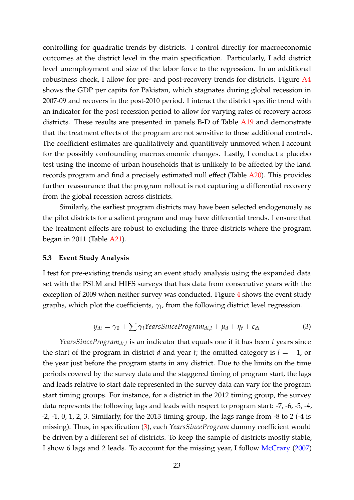controlling for quadratic trends by districts. I control directly for macroeconomic outcomes at the district level in the main specification. Particularly, I add district level unemployment and size of the labor force to the regression. In an additional robustness check, I allow for pre- and post-recovery trends for districts. Figure A4 shows the GDP per capita for Pakistan, which stagnates during global recession in 2007-09 and recovers in the post-2010 period. I interact the district specific trend with an indicator for the post recession period to allow for varying rates of recovery across districts. These results are presented in panels B-D of Table A19 and demonstrate that the treatment effects of the program are not sensitive to these additional controls. The coefficient estimates are qualitatively and quantitively unmoved when I account for the possibly confounding macroeconomic changes. Lastly, I conduct a placebo test using the income of urban households that is unlikely to be affected by the land records program and find a precisely estimated null effect (Table A20). This provides further reassurance that the program rollout is not capturing a differential recovery from the global recession across districts.

Similarly, the earliest program districts may have been selected endogenously as the pilot districts for a salient program and may have differential trends. I ensure that the treatment effects are robust to excluding the three districts where the program began in 2011 (Table A21).

#### **5.3 Event Study Analysis**

I test for pre-existing trends using an event study analysis using the expanded data set with the PSLM and HIES surveys that has data from consecutive years with the exception of 2009 when neither survey was conducted. Figure 4 shows the event study graphs, which plot the coefficients,  $\gamma_l$ , from the following district level regression.

$$
y_{dt} = \gamma_0 + \sum \gamma_l \text{YearsSince} \text{Program}_{dt,l} + \mu_d + \eta_t + \varepsilon_{dt} \tag{3}
$$

*YearsSinceProgramdt*,*<sup>l</sup>* is an indicator that equals one if it has been *l* years since the start of the program in district *d* and year *t*; the omitted category is  $l = -1$ , or the year just before the program starts in any district. Due to the limits on the time periods covered by the survey data and the staggered timing of program start, the lags and leads relative to start date represented in the survey data can vary for the program start timing groups. For instance, for a district in the 2012 timing group, the survey data represents the following lags and leads with respect to program start: -7, -6, -5, -4, -2, -1, 0, 1, 2, 3. Similarly, for the 2013 timing group, the lags range from -8 to 2 (-4 is missing). Thus, in specification (3), each *YearsSinceProgram* dummy coefficient would be driven by a different set of districts. To keep the sample of districts mostly stable, I show 6 lags and 2 leads. To account for the missing year, I follow McCrary (2007)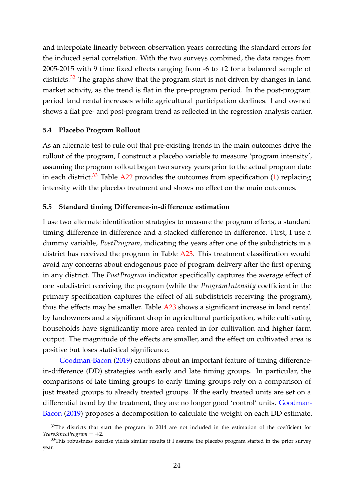and interpolate linearly between observation years correcting the standard errors for the induced serial correlation. With the two surveys combined, the data ranges from 2005-2015 with 9 time fixed effects ranging from -6 to +2 for a balanced sample of districts.<sup>32</sup> The graphs show that the program start is not driven by changes in land market activity, as the trend is flat in the pre-program period. In the post-program period land rental increases while agricultural participation declines. Land owned shows a flat pre- and post-program trend as reflected in the regression analysis earlier.

### **5.4 Placebo Program Rollout**

As an alternate test to rule out that pre-existing trends in the main outcomes drive the rollout of the program, I construct a placebo variable to measure 'program intensity', assuming the program rollout began two survey years prior to the actual program date in each district.<sup>33</sup> Table A22 provides the outcomes from specification  $(1)$  replacing intensity with the placebo treatment and shows no effect on the main outcomes.

### **5.5 Standard timing Difference-in-difference estimation**

I use two alternate identification strategies to measure the program effects, a standard timing difference in difference and a stacked difference in difference. First, I use a dummy variable, *PostProgram*, indicating the years after one of the subdistricts in a district has received the program in Table A23. This treatment classification would avoid any concerns about endogenous pace of program delivery after the first opening in any district. The *PostProgram* indicator specifically captures the average effect of one subdistrict receiving the program (while the *ProgramIntensity* coefficient in the primary specification captures the effect of all subdistricts receiving the program), thus the effects may be smaller. Table A23 shows a significant increase in land rental by landowners and a significant drop in agricultural participation, while cultivating households have significantly more area rented in for cultivation and higher farm output. The magnitude of the effects are smaller, and the effect on cultivated area is positive but loses statistical significance.

Goodman-Bacon (2019) cautions about an important feature of timing differencein-difference (DD) strategies with early and late timing groups. In particular, the comparisons of late timing groups to early timing groups rely on a comparison of just treated groups to already treated groups. If the early treated units are set on a differential trend by the treatment, they are no longer good 'control' units. Goodman-Bacon (2019) proposes a decomposition to calculate the weight on each DD estimate.

<sup>&</sup>lt;sup>32</sup>The districts that start the program in 2014 are not included in the estimation of the coefficient for *YearsSinceProgram* = +2.

<sup>&</sup>lt;sup>33</sup>This robustness exercise yields similar results if I assume the placebo program started in the prior survey year.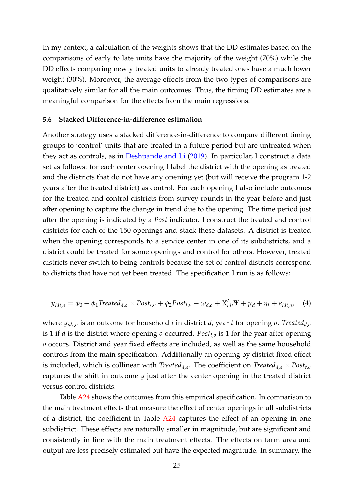In my context, a calculation of the weights shows that the DD estimates based on the comparisons of early to late units have the majority of the weight (70%) while the DD effects comparing newly treated units to already treated ones have a much lower weight (30%). Moreover, the average effects from the two types of comparisons are qualitatively similar for all the main outcomes. Thus, the timing DD estimates are a meaningful comparison for the effects from the main regressions.

### **5.6 Stacked Difference-in-difference estimation**

Another strategy uses a stacked difference-in-difference to compare different timing groups to 'control' units that are treated in a future period but are untreated when they act as controls, as in Deshpande and Li (2019). In particular, I construct a data set as follows: for each center opening I label the district with the opening as treated and the districts that do not have any opening yet (but will receive the program 1-2 years after the treated district) as control. For each opening I also include outcomes for the treated and control districts from survey rounds in the year before and just after opening to capture the change in trend due to the opening. The time period just after the opening is indicated by a *Post* indicator. I construct the treated and control districts for each of the 150 openings and stack these datasets. A district is treated when the opening corresponds to a service center in one of its subdistricts, and a district could be treated for some openings and control for others. However, treated districts never switch to being controls because the set of control districts correspond to districts that have not yet been treated. The specification I run is as follows:

$$
y_{idt,o} = \phi_0 + \phi_1 \text{Treated}_{d,o} \times \text{Post}_{t,o} + \phi_2 \text{Post}_{t,o} + \omega_{d,o} + X'_{idt} \Psi + \mu_d + \eta_t + \epsilon_{idt,o}, \quad (4)
$$

where *yidt*,*<sup>o</sup>* is an outcome for household *i* in district *d*, year *t* for opening *o*. *Treatedd*,*<sup>o</sup>* is 1 if *d* is the district where opening *o* occurred. *Postt*,*<sup>o</sup>* is 1 for the year after opening *o* occurs. District and year fixed effects are included, as well as the same household controls from the main specification. Additionally an opening by district fixed effect is included, which is collinear with  $Treated_{d,o}$ . The coefficient on  $Treated_{d,o} \times Post_{t,o}$ captures the shift in outcome *y* just after the center opening in the treated district versus control districts.

Table A24 shows the outcomes from this empirical specification. In comparison to the main treatment effects that measure the effect of center openings in all subdistricts of a district, the coefficient in Table A24 captures the effect of an opening in one subdistrict. These effects are naturally smaller in magnitude, but are significant and consistently in line with the main treatment effects. The effects on farm area and output are less precisely estimated but have the expected magnitude. In summary, the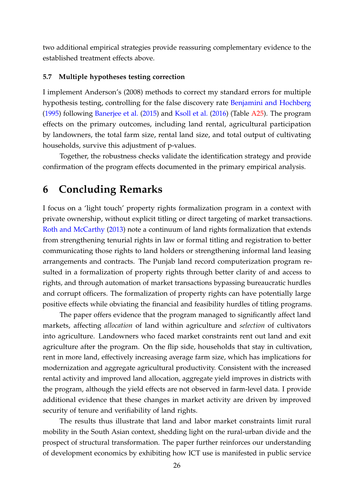two additional empirical strategies provide reassuring complementary evidence to the established treatment effects above.

### **5.7 Multiple hypotheses testing correction**

I implement Anderson's (2008) methods to correct my standard errors for multiple hypothesis testing, controlling for the false discovery rate Benjamini and Hochberg (1995) following Banerjee et al. (2015) and Ksoll et al. (2016) (Table A25). The program effects on the primary outcomes, including land rental, agricultural participation by landowners, the total farm size, rental land size, and total output of cultivating households, survive this adjustment of p-values.

Together, the robustness checks validate the identification strategy and provide confirmation of the program effects documented in the primary empirical analysis.

# **6 Concluding Remarks**

I focus on a 'light touch' property rights formalization program in a context with private ownership, without explicit titling or direct targeting of market transactions. Roth and McCarthy (2013) note a continuum of land rights formalization that extends from strengthening tenurial rights in law or formal titling and registration to better communicating those rights to land holders or strengthening informal land leasing arrangements and contracts. The Punjab land record computerization program resulted in a formalization of property rights through better clarity of and access to rights, and through automation of market transactions bypassing bureaucratic hurdles and corrupt officers. The formalization of property rights can have potentially large positive effects while obviating the financial and feasibility hurdles of titling programs.

The paper offers evidence that the program managed to significantly affect land markets, affecting *allocation* of land within agriculture and *selection* of cultivators into agriculture. Landowners who faced market constraints rent out land and exit agriculture after the program. On the flip side, households that stay in cultivation, rent in more land, effectively increasing average farm size, which has implications for modernization and aggregate agricultural productivity. Consistent with the increased rental activity and improved land allocation, aggregate yield improves in districts with the program, although the yield effects are not observed in farm-level data. I provide additional evidence that these changes in market activity are driven by improved security of tenure and verifiability of land rights.

The results thus illustrate that land and labor market constraints limit rural mobility in the South Asian context, shedding light on the rural-urban divide and the prospect of structural transformation. The paper further reinforces our understanding of development economics by exhibiting how ICT use is manifested in public service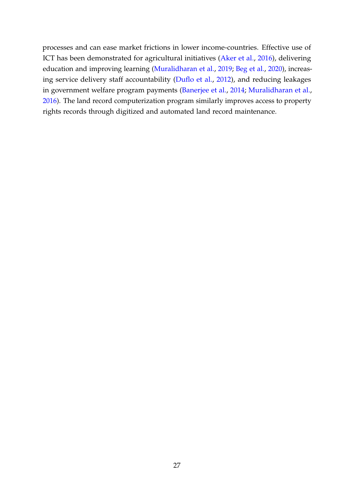processes and can ease market frictions in lower income-countries. Effective use of ICT has been demonstrated for agricultural initiatives (Aker et al., 2016), delivering education and improving learning (Muralidharan et al., 2019; Beg et al., 2020), increasing service delivery staff accountability (Duflo et al., 2012), and reducing leakages in government welfare program payments (Banerjee et al., 2014; Muralidharan et al., 2016). The land record computerization program similarly improves access to property rights records through digitized and automated land record maintenance.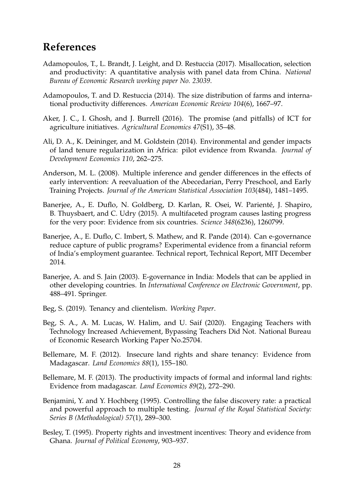# **References**

- Adamopoulos, T., L. Brandt, J. Leight, and D. Restuccia (2017). Misallocation, selection and productivity: A quantitative analysis with panel data from China. *National Bureau of Economic Research working paper No. 23039*.
- Adamopoulos, T. and D. Restuccia (2014). The size distribution of farms and international productivity differences. *American Economic Review 104*(6), 1667–97.
- Aker, J. C., I. Ghosh, and J. Burrell (2016). The promise (and pitfalls) of ICT for agriculture initiatives. *Agricultural Economics 47*(S1), 35–48.
- Ali, D. A., K. Deininger, and M. Goldstein (2014). Environmental and gender impacts of land tenure regularization in Africa: pilot evidence from Rwanda. *Journal of Development Economics 110*, 262–275.
- Anderson, M. L. (2008). Multiple inference and gender differences in the effects of early intervention: A reevaluation of the Abecedarian, Perry Preschool, and Early Training Projects. *Journal of the American Statistical Association 103*(484), 1481–1495.
- Banerjee, A., E. Duflo, N. Goldberg, D. Karlan, R. Osei, W. Parienté, J. Shapiro, B. Thuysbaert, and C. Udry (2015). A multifaceted program causes lasting progress for the very poor: Evidence from six countries. *Science 348*(6236), 1260799.
- Banerjee, A., E. Duflo, C. Imbert, S. Mathew, and R. Pande (2014). Can e-governance reduce capture of public programs? Experimental evidence from a financial reform of India's employment guarantee. Technical report, Technical Report, MIT December 2014.
- Banerjee, A. and S. Jain (2003). E-governance in India: Models that can be applied in other developing countries. In *International Conference on Electronic Government*, pp. 488–491. Springer.
- Beg, S. (2019). Tenancy and clientelism. *Working Paper*.
- Beg, S. A., A. M. Lucas, W. Halim, and U. Saif (2020). Engaging Teachers with Technology Increased Achievement, Bypassing Teachers Did Not. National Bureau of Economic Research Working Paper No.25704.
- Bellemare, M. F. (2012). Insecure land rights and share tenancy: Evidence from Madagascar. *Land Economics 88*(1), 155–180.
- Bellemare, M. F. (2013). The productivity impacts of formal and informal land rights: Evidence from madagascar. *Land Economics 89*(2), 272–290.
- Benjamini, Y. and Y. Hochberg (1995). Controlling the false discovery rate: a practical and powerful approach to multiple testing. *Journal of the Royal Statistical Society: Series B (Methodological) 57*(1), 289–300.
- Besley, T. (1995). Property rights and investment incentives: Theory and evidence from Ghana. *Journal of Political Economy*, 903–937.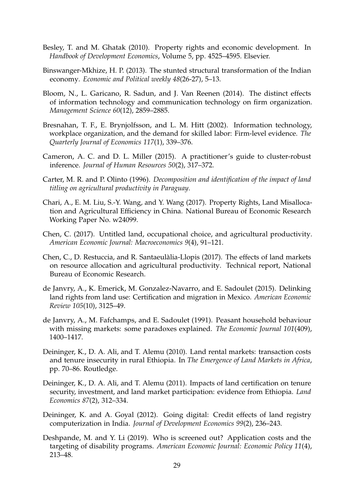- Besley, T. and M. Ghatak (2010). Property rights and economic development. In *Handbook of Development Economics*, Volume 5, pp. 4525–4595. Elsevier.
- Binswanger-Mkhize, H. P. (2013). The stunted structural transformation of the Indian economy. *Economic and Political weekly 48*(26-27), 5–13.
- Bloom, N., L. Garicano, R. Sadun, and J. Van Reenen (2014). The distinct effects of information technology and communication technology on firm organization. *Management Science 60*(12), 2859–2885.
- Bresnahan, T. F., E. Brynjolfsson, and L. M. Hitt (2002). Information technology, workplace organization, and the demand for skilled labor: Firm-level evidence. *The Quarterly Journal of Economics 117*(1), 339–376.
- Cameron, A. C. and D. L. Miller (2015). A practitioner's guide to cluster-robust inference. *Journal of Human Resources 50*(2), 317–372.
- Carter, M. R. and P. Olinto (1996). *Decomposition and identification of the impact of land titling on agricultural productivity in Paraguay*.
- Chari, A., E. M. Liu, S.-Y. Wang, and Y. Wang (2017). Property Rights, Land Misallocation and Agricultural Efficiency in China. National Bureau of Economic Research Working Paper No. w24099.
- Chen, C. (2017). Untitled land, occupational choice, and agricultural productivity. *American Economic Journal: Macroeconomics 9*(4), 91–121.
- Chen, C., D. Restuccia, and R. Santaeulàlia-Llopis (2017). The effects of land markets on resource allocation and agricultural productivity. Technical report, National Bureau of Economic Research.
- de Janvry, A., K. Emerick, M. Gonzalez-Navarro, and E. Sadoulet (2015). Delinking land rights from land use: Certification and migration in Mexico. *American Economic Review 105*(10), 3125–49.
- de Janvry, A., M. Fafchamps, and E. Sadoulet (1991). Peasant household behaviour with missing markets: some paradoxes explained. *The Economic Journal 101*(409), 1400–1417.
- Deininger, K., D. A. Ali, and T. Alemu (2010). Land rental markets: transaction costs and tenure insecurity in rural Ethiopia. In *The Emergence of Land Markets in Africa*, pp. 70–86. Routledge.
- Deininger, K., D. A. Ali, and T. Alemu (2011). Impacts of land certification on tenure security, investment, and land market participation: evidence from Ethiopia. *Land Economics 87*(2), 312–334.
- Deininger, K. and A. Goyal (2012). Going digital: Credit effects of land registry computerization in India. *Journal of Development Economics 99*(2), 236–243.
- Deshpande, M. and Y. Li (2019). Who is screened out? Application costs and the targeting of disability programs. *American Economic Journal: Economic Policy 11*(4), 213–48.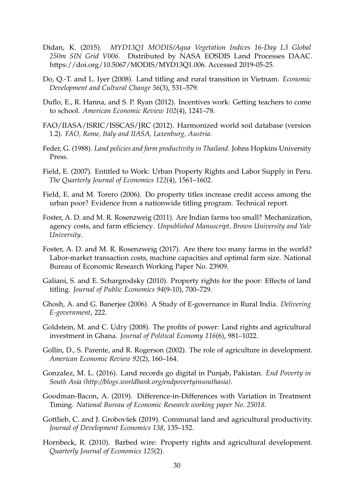- Didan, K. (2015). *MYD13Q1 MODIS/Aqua Vegetation Indices 16-Day L3 Global 250m SIN Grid V006.* Distributed by NASA EOSDIS Land Processes DAAC. https://doi.org/10.5067/MODIS/MYD13Q1.006. Accessed 2019-05-25.
- Do, Q.-T. and L. Iyer (2008). Land titling and rural transition in Vietnam. *Economic Development and Cultural Change 56*(3), 531–579.
- Duflo, E., R. Hanna, and S. P. Ryan (2012). Incentives work: Getting teachers to come to school. *American Economic Review 102*(4), 1241–78.
- FAO/IIASA/ISRIC/ISSCAS/JRC (2012). Harmonized world soil database (version 1.2). *FAO, Rome, Italy and IIASA, Laxenburg, Austria*.
- Feder, G. (1988). *Land policies and farm productivity in Thailand*. Johns Hopkins University Press.
- Field, E. (2007). Entitled to Work: Urban Property Rights and Labor Supply in Peru. *The Quarterly Journal of Economics 122*(4), 1561–1602.
- Field, E. and M. Torero (2006). Do property titles increase credit access among the urban poor? Evidence from a nationwide titling program. Technical report.
- Foster, A. D. and M. R. Rosenzweig (2011). Are Indian farms too small? Mechanization, agency costs, and farm efficiency. *Unpublished Manuscript, Brown University and Yale University*.
- Foster, A. D. and M. R. Rosenzweig (2017). Are there too many farms in the world? Labor-market transaction costs, machine capacities and optimal farm size. National Bureau of Economic Research Working Paper No. 23909.
- Galiani, S. and E. Schargrodsky (2010). Property rights for the poor: Effects of land titling. *Journal of Public Economics 94*(9-10), 700–729.
- Ghosh, A. and G. Banerjee (2006). A Study of E-governance in Rural India. *Delivering E-government*, 222.
- Goldstein, M. and C. Udry (2008). The profits of power: Land rights and agricultural investment in Ghana. *Journal of Political Economy 116*(6), 981–1022.
- Gollin, D., S. Parente, and R. Rogerson (2002). The role of agriculture in development. *American Economic Review 92*(2), 160–164.
- Gonzalez, M. L. (2016). Land records go digital in Punjab, Pakistan. *End Poverty in South Asia (http://blogs.worldbank.org/endpovertyinsouthasia)*.
- Goodman-Bacon, A. (2019). Difference-in-Differences with Variation in Treatment Timing. *National Bureau of Economic Research working paper No. 25018*.
- Gottlieb, C. and J. Grobovšek (2019). Communal land and agricultural productivity. *Journal of Development Economics 138*, 135–152.
- Hornbeck, R. (2010). Barbed wire: Property rights and agricultural development. *Quarterly Journal of Economics 125*(2).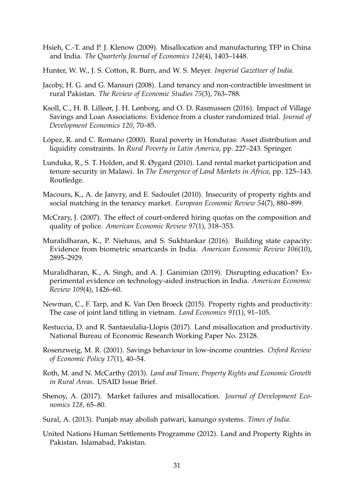- Hsieh, C.-T. and P. J. Klenow (2009). Misallocation and manufacturing TFP in China and India. *The Quarterly Journal of Economics 124*(4), 1403–1448.
- Hunter, W. W., J. S. Cotton, R. Burn, and W. S. Meyer. *Imperial Gazetteer of India.*
- Jacoby, H. G. and G. Mansuri (2008). Land tenancy and non-contractible investment in rural Pakistan. *The Review of Economic Studies 75*(3), 763–788.
- Ksoll, C., H. B. Lilleør, J. H. Lønborg, and O. D. Rasmussen (2016). Impact of Village Savings and Loan Associations: Evidence from a cluster randomized trial. *Journal of Development Economics 120*, 70–85.
- López, R. and C. Romano (2000). Rural poverty in Honduras: Asset distribution and liquidity constraints. In *Rural Poverty in Latin America*, pp. 227–243. Springer.
- Lunduka, R., S. T. Holden, and R. Øygard (2010). Land rental market participation and tenure security in Malawi. In *The Emergence of Land Markets in Africa*, pp. 125–143. Routledge.
- Macours, K., A. de Janvry, and E. Sadoulet (2010). Insecurity of property rights and social matching in the tenancy market. *European Economic Review 54*(7), 880–899.
- McCrary, J. (2007). The effect of court-ordered hiring quotas on the composition and quality of police. *American Economic Review 97*(1), 318–353.
- Muralidharan, K., P. Niehaus, and S. Sukhtankar (2016). Building state capacity: Evidence from biometric smartcards in India. *American Economic Review 106*(10), 2895–2929.
- Muralidharan, K., A. Singh, and A. J. Ganimian (2019). Disrupting education? Experimental evidence on technology-aided instruction in India. *American Economic Review 109*(4), 1426–60.
- Newman, C., F. Tarp, and K. Van Den Broeck (2015). Property rights and productivity: The case of joint land titling in vietnam. *Land Economics 91*(1), 91–105.
- Restuccia, D. and R. Santaeulalia-Llopis (2017). Land misallocation and productivity. National Bureau of Economic Research Working Paper No. 23128.
- Rosenzweig, M. R. (2001). Savings behaviour in low-income countries. *Oxford Review of Economic Policy 17*(1), 40–54.
- Roth, M. and N. McCarthy (2013). *Land and Tenure, Property Rights and Economic Growth in Rural Areas*. USAID Issue Brief.
- Shenoy, A. (2017). Market failures and misallocation. *Journal of Development Economics 128*, 65–80.
- Sural, A. (2013). Punjab may abolish patwari, kanungo systems. *Times of India*.
- United Nations Human Settlements Programme (2012). Land and Property Rights in Pakistan. Islamabad, Pakistan.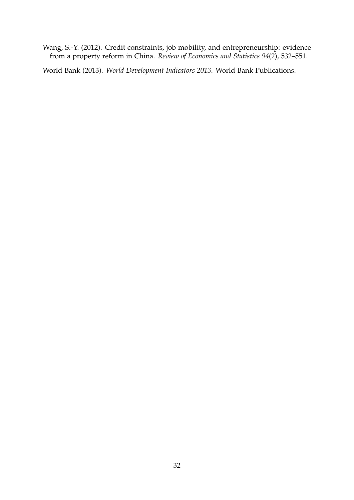Wang, S.-Y. (2012). Credit constraints, job mobility, and entrepreneurship: evidence from a property reform in China. *Review of Economics and Statistics 94*(2), 532–551.

World Bank (2013). *World Development Indicators 2013*. World Bank Publications.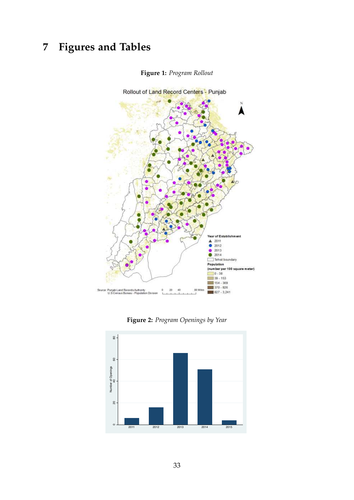# **7 Figures and Tables**



**Figure 1:** *Program Rollout*

**Figure 2:** *Program Openings by Year*

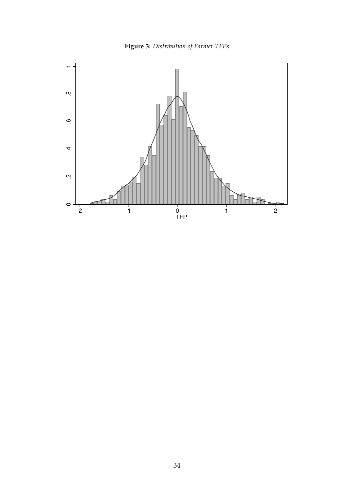**Figure 3:** *Distribution of Farmer TFPs*

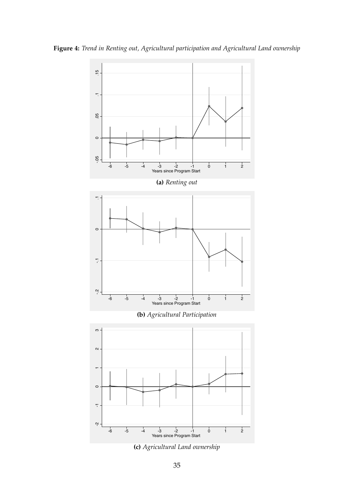**Figure 4:** *Trend in Renting out, Agricultural participation and Agricultural Land ownership*

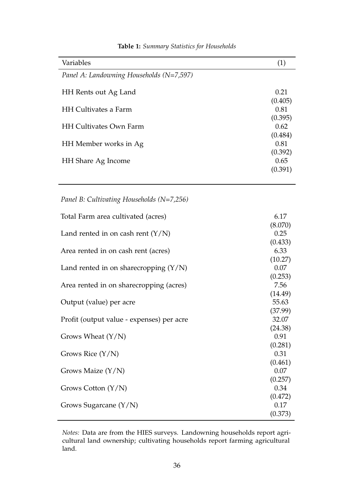| Variables                                  | (1)     |
|--------------------------------------------|---------|
| Panel A: Landowning Households $(N=7,597)$ |         |
| HH Rents out Ag Land                       | 0.21    |
|                                            | (0.405) |
| <b>HH</b> Cultivates a Farm                | 0.81    |
|                                            | (0.395) |
| <b>HH Cultivates Own Farm</b>              | 0.62    |
|                                            | (0.484) |
| HH Member works in Ag                      | 0.81    |
|                                            | (0.392) |
| HH Share Ag Income                         | 0.65    |
|                                            | (0.391) |

#### **Table 1:** *Summary Statistics for Households*

*Panel B: Cultivating Households (N=7,256)*

| Total Farm area cultivated (acres)        | 6.17    |
|-------------------------------------------|---------|
|                                           | (8.070) |
| Land rented in on cash rent $(Y/N)$       | 0.25    |
|                                           | (0.433) |
| Area rented in on cash rent (acres)       | 6.33    |
|                                           | (10.27) |
| Land rented in on share cropping $(Y/N)$  | 0.07    |
|                                           | (0.253) |
| Area rented in on sharecropping (acres)   | 7.56    |
|                                           | (14.49) |
| Output (value) per acre                   | 55.63   |
|                                           | (37.99) |
| Profit (output value - expenses) per acre | 32.07   |
|                                           | (24.38) |
| Grows Wheat $(Y/N)$                       | 0.91    |
|                                           | (0.281) |
| Grows Rice $(Y/N)$                        | 0.31    |
|                                           | (0.461) |
| Grows Maize $(Y/N)$                       | 0.07    |
|                                           | (0.257) |
| Grows Cotton $(Y/N)$                      | 0.34    |
|                                           | (0.472) |
| Grows Sugarcane (Y/N)                     | 0.17    |
|                                           | (0.373) |

*Notes:* Data are from the HIES surveys. Landowning households report agricultural land ownership; cultivating households report farming agricultural land.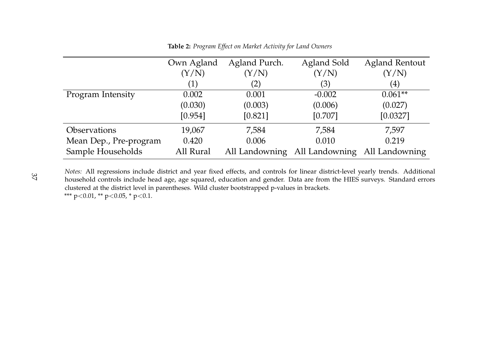|                        | Own Agland | Agland Purch. | Agland Sold                                  | <b>Agland Rentout</b> |
|------------------------|------------|---------------|----------------------------------------------|-----------------------|
|                        | (Y/N)      | (Y/N)         | (Y/N)                                        | (Y/N)                 |
|                        | (1)        | (2)           | (3)                                          | $\left( 4\right)$     |
| Program Intensity      | 0.002      | 0.001         | $-0.002$                                     | $0.061**$             |
|                        | (0.030)    | (0.003)       | (0.006)                                      | (0.027)               |
|                        | [0.954]    | [0.821]       | [0.707]                                      | [0.0327]              |
| <b>Observations</b>    | 19,067     | 7,584         | 7,584                                        | 7,597                 |
| Mean Dep., Pre-program | 0.420      | 0.006         | 0.010                                        | 0.219                 |
| Sample Households      | All Rural  |               | All Landowning All Landowning All Landowning |                       |

**Table 2:** *Program Effect on Market Activity for Land Owners*

*Notes:* All regressions include district and year fixed effects, and controls for linear district-level yearly trends. Additional household controls include head age, age squared, education and gender. Data are from the HIES surveys. Standard errors clustered at the district level in parentheses. Wild cluster bootstrapped p-values in brackets. \*\*\* p<0.01, \*\* p<0.05, \* p<0.1.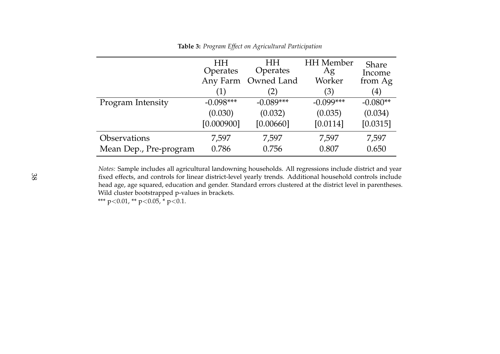|                        | <b>HH</b><br>Operates<br>Any Farm | <b>HH</b><br>Operates<br>Owned Land | <b>HH</b> Member<br>Ag<br>Worker | Share<br>Income<br>from Ag |
|------------------------|-----------------------------------|-------------------------------------|----------------------------------|----------------------------|
|                        | (1)                               | (2)                                 | (3)                              | $\left( 4\right)$          |
| Program Intensity      | $-0.098***$                       | $-0.089***$                         | $-0.099***$                      | $-0.080**$                 |
|                        | (0.030)                           | (0.032)                             | (0.035)                          | (0.034)                    |
|                        | [0.000900]                        | [0.00660]                           | [0.0114]                         | [0.0315]                   |
| Observations           | 7,597                             | 7,597                               | 7,597                            | 7,597                      |
| Mean Dep., Pre-program | 0.786                             | 0.756                               | 0.807                            | 0.650                      |

**Table 3:** *Program Effect on Agricultural Participation*

*Notes:* Sample includes all agricultural landowning households. All regressions include district and year fixed effects, and controls for linear district-level yearly trends. Additional household controls include head age, age squared, education and gender. Standard errors clustered at the district level in parentheses. Wild cluster bootstrapped p-values in brackets.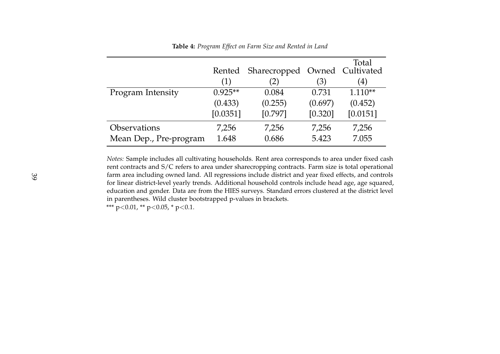|                        | Rented    | Sharecropped Owned Cultivated |         | Total     |
|------------------------|-----------|-------------------------------|---------|-----------|
|                        | (1)       | (2)                           | (3)     | (4)       |
| Program Intensity      | $0.925**$ | 0.084                         | 0.731   | $1.110**$ |
|                        | (0.433)   | (0.255)                       | (0.697) | (0.452)   |
|                        | [0.0351]  | [0.797]                       | [0.320] | [0.0151]  |
| <b>Observations</b>    | 7,256     | 7,256                         | 7,256   | 7,256     |
| Mean Dep., Pre-program | 1.648     | 0.686                         | 5.423   | 7.055     |

**Table 4:** *Program Effect on Farm Size and Rented in Land*

*Notes:* Sample includes all cultivating households. Rent area corresponds to area under fixed cash rent contracts and S/C refers to area under sharecropping contracts. Farm size is total operational farm area including owned land. All regressions include district and year fixed effects, and controls for linear district-level yearly trends. Additional household controls include head age, age squared, education and gender. Data are from the HIES surveys. Standard errors clustered at the district level in parentheses. Wild cluster bootstrapped p-values in brackets.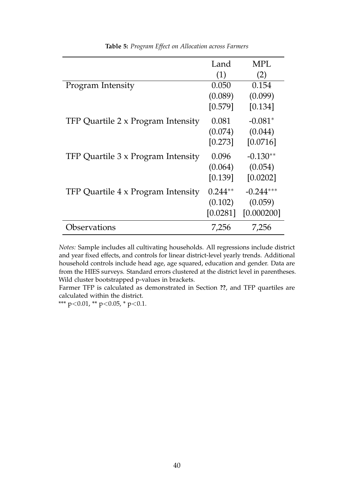|                                    | Land<br>(1) | <b>MPL</b><br>(2) |
|------------------------------------|-------------|-------------------|
| Program Intensity                  | 0.050       | 0.154             |
|                                    | (0.089)     | (0.099)           |
|                                    | [0.579]     | [0.134]           |
| TFP Quartile 2 x Program Intensity | 0.081       | $-0.081*$         |
|                                    | (0.074)     | (0.044)           |
|                                    | [0.273]     | [0.0716]          |
| TFP Quartile 3 x Program Intensity | 0.096       | $-0.130**$        |
|                                    | (0.064)     | (0.054)           |
|                                    | [0.139]     | [0.0202]          |
| TFP Quartile 4 x Program Intensity | $0.244**$   | $-0.244***$       |
|                                    | (0.102)     | (0.059)           |
|                                    | [0.0281]    | [0.000200]        |
| Observations                       | 7,256       | 7,256             |

**Table 5:** *Program Effect on Allocation across Farmers*

*Notes:* Sample includes all cultivating households. All regressions include district and year fixed effects, and controls for linear district-level yearly trends. Additional household controls include head age, age squared, education and gender. Data are from the HIES surveys. Standard errors clustered at the district level in parentheses. Wild cluster bootstrapped p-values in brackets.

Farmer TFP is calculated as demonstrated in Section **??**, and TFP quartiles are calculated within the district.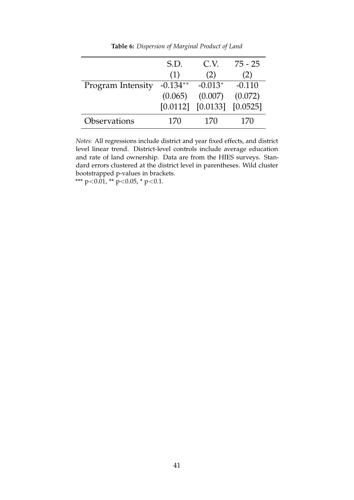|                   | S.D.       | C.V.                             | $75 - 25$ |
|-------------------|------------|----------------------------------|-----------|
|                   | (1)        | (2)                              | (2)       |
| Program Intensity | $-0.134**$ | $-0.013*$                        | $-0.110$  |
|                   | (0.065)    | (0.007)                          | (0.072)   |
|                   |            | $[0.0112]$ $[0.0133]$ $[0.0525]$ |           |
| Observations      | 170        | 170                              | 170       |

**Table 6:** *Dispersion of Marginal Product of Land*

*Notes:* All regressions include district and year fixed effects, and district level linear trend. District-level controls include average education and rate of land ownership. Data are from the HIES surveys. Standard errors clustered at the district level in parentheses. Wild cluster bootstrapped p-values in brackets.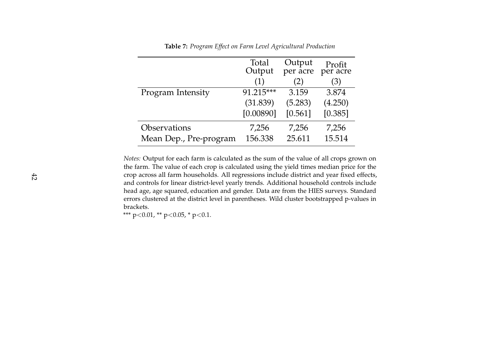|                        | Total<br>Output | Output<br>per acre | Profit<br>per acre |
|------------------------|-----------------|--------------------|--------------------|
|                        | (1)             | (2)                | (3)                |
| Program Intensity      | 91.215***       | 3.159              | 3.874              |
|                        | (31.839)        | (5.283)            | (4.250)            |
|                        | [0.00890]       | [0.561]            | [0.385]            |
| <b>Observations</b>    | 7,256           | 7,256              | 7,256              |
| Mean Dep., Pre-program | 156.338         | 25.611             | 15.514             |

**Table 7:** *Program Effect on Farm Level Agricultural Production*

*Notes:* Output for each farm is calculated as the sum of the value of all crops grown on the farm. The value of each crop is calculated using the yield times median price for the crop across all farm households. All regressions include district and year fixed effects, and controls for linear district-level yearly trends. Additional household controls include head age, age squared, education and gender. Data are from the HIES surveys. Standard errors clustered at the district level in parentheses. Wild cluster bootstrapped p-values in brackets.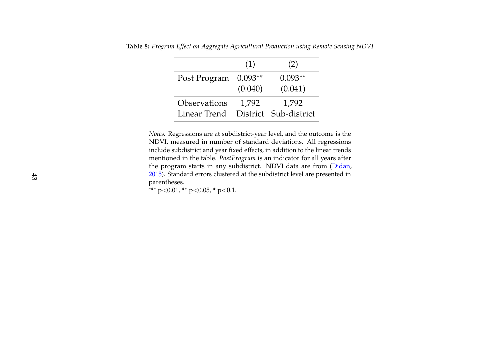|                     | (1)       | (2)                   |
|---------------------|-----------|-----------------------|
| Post Program        | $0.093**$ | $0.093**$             |
|                     | (0.040)   | (0.041)               |
| <b>Observations</b> | 1,792     | 1,792                 |
| Linear Trend        |           | District Sub-district |

**Table 8:** *Program Effect on Aggregate Agricultural Production using Remote Sensing NDVI*

*Notes:* Regressions are at subdistrict-year level, and the outcome is the NDVI, measured in number of standard deviations. All regressions include subdistrict and year fixed effects, in addition to the linear trends mentioned in the table. *PostProgram* is an indicator for all years after the program starts in any subdistrict. NDVI data are from (Didan, 2015). Standard errors clustered at the subdistrict level are presented in parentheses.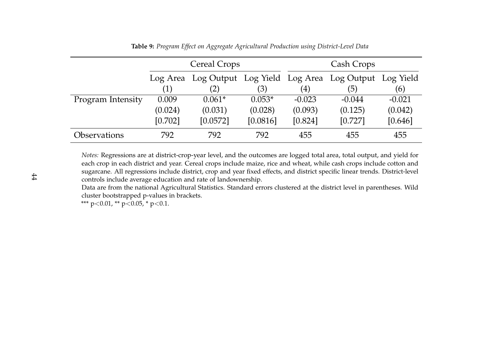|                     | <b>Cereal Crops</b>                               |                   |          | Cash Crops        |           |          |
|---------------------|---------------------------------------------------|-------------------|----------|-------------------|-----------|----------|
|                     | Log Area Log Output Log Yield Log Area Log Output |                   |          |                   | Log Yield |          |
|                     | (1)                                               | $\left( 2\right)$ | (3)      | $\left( 4\right)$ | (5)       | (6)      |
| Program Intensity   | 0.009                                             | $0.061*$          | $0.053*$ | $-0.023$          | $-0.044$  | $-0.021$ |
|                     | (0.024)                                           | (0.031)           | (0.028)  | (0.093)           | (0.125)   | (0.042)  |
|                     | [0.702]                                           | [0.0572]          | [0.0816] | [0.824]           | [0.727]   | [0.646]  |
| <b>Observations</b> | 792                                               | 792               | 792      | 455               | 455       | 455      |

**Table 9:** *Program Effect on Aggregate Agricultural Production using District-Level Data*

*Notes:* Regressions are at district-crop-year level, and the outcomes are logged total area, total output, and yield for each crop in each district and year. Cereal crops include maize, rice and wheat, while cash crops include cotton and sugarcane. All regressions include district, crop and year fixed effects, and district specific linear trends. District-level controls include average education and rate of landownership.

Data are from the national Agricultural Statistics. Standard errors clustered at the district level in parentheses. Wild cluster bootstrapped p-values in brackets.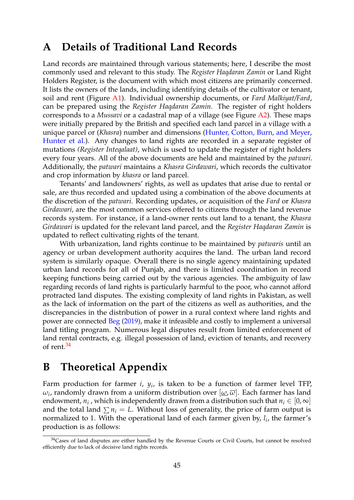#### **A Details of Traditional Land Records**

Land records are maintained through various statements; here, I describe the most commonly used and relevant to this study. The *Register Haqdaran Zamin* or Land Right Holders Register, is the document with which most citizens are primarily concerned. It lists the owners of the lands, including identifying details of the cultivator or tenant, soil and rent (Figure A1). Individual ownership documents, or *Fard Malkiyat/Fard*, can be prepared using the *Register Haqdaran Zamin*. The register of right holders corresponds to a *Mussavi* or a cadastral map of a village (see Figure A2). These maps were initially prepared by the British and specified each land parcel in a village with a unique parcel or (*Khasra*) number and dimensions (Hunter, Cotton, Burn, and Meyer, Hunter et al.). Any changes to land rights are recorded in a separate register of mutations *(Register Inteqalaat)*, which is used to update the register of right holders every four years. All of the above documents are held and maintained by the *patwari*. Additionally, the *patwari* maintains a *Khasra Girdawari*, which records the cultivator and crop information by *khasra* or land parcel.

Tenants' and landowners' rights, as well as updates that arise due to rental or sale, are thus recorded and updated using a combination of the above documents at the discretion of the *patwari*. Recording updates, or acquisition of the *Fard* or *Khasra Girdawari*, are the most common services offered to citizens through the land revenue records system. For instance, if a land-owner rents out land to a tenant, the *Khasra Girdawari* is updated for the relevant land parcel, and the *Register Haqdaran Zamin* is updated to reflect cultivating rights of the tenant.

With urbanization, land rights continue to be maintained by *patwaris* until an agency or urban development authority acquires the land. The urban land record system is similarly opaque. Overall there is no single agency maintaining updated urban land records for all of Punjab, and there is limited coordination in record keeping functions being carried out by the various agencies. The ambiguity of law regarding records of land rights is particularly harmful to the poor, who cannot afford protracted land disputes. The existing complexity of land rights in Pakistan, as well as the lack of information on the part of the citizens as well as authorities, and the discrepancies in the distribution of power in a rural context where land rights and power are connected Beg (2019), make it infeasible and costly to implement a universal land titling program. Numerous legal disputes result from limited enforcement of land rental contracts, e.g. illegal possession of land, eviction of tenants, and recovery of rent.<sup>34</sup>

## **B Theoretical Appendix**

Farm production for farmer *i*, *y<sup>i</sup>* , is taken to be a function of farmer level TFP, *ωi* , randomly drawn from a uniform distribution over [*ω*, *ω*]. Each farmer has land endowment,  $n_i$ , which is independently drawn from a distribution such that  $n_i \in [0, \infty]$ and the total land  $\sum n_i = L$ . Without loss of generality, the price of farm output is normalized to 1. With the operational land of each farmer given by, *l<sup>i</sup>* , the farmer's production is as follows:

<sup>&</sup>lt;sup>34</sup>Cases of land disputes are either handled by the Revenue Courts or Civil Courts, but cannot be resolved efficiently due to lack of decisive land rights records.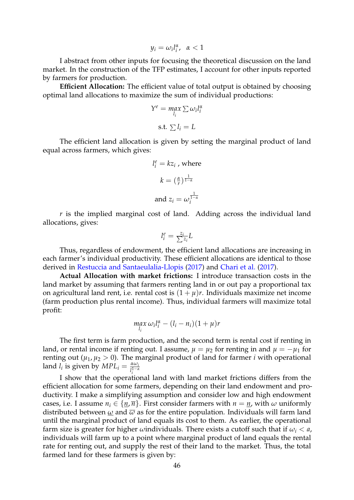$$
y_i = \omega_i l_i^{\alpha}, \ \alpha < 1
$$

I abstract from other inputs for focusing the theoretical discussion on the land market. In the construction of the TFP estimates, I account for other inputs reported by farmers for production.

**Efficient Allocation:** The efficient value of total output is obtained by choosing optimal land allocations to maximize the sum of individual productions:

$$
Y^{e} = \max_{l_{i}} \sum \omega_{i} l_{i}^{\alpha}
$$
  
s.t.  $\sum l_{i} = L$ 

The efficient land allocation is given by setting the marginal product of land equal across farmers, which gives:

$$
l_i^e = kz_i \text{ , where }
$$
  

$$
k = (\frac{\alpha}{r})^{\frac{1}{1-\alpha}}
$$
  
and 
$$
z_i = \omega_i^{\frac{1}{1-\alpha}}
$$

*r* is the implied marginal cost of land. Adding across the individual land allocations, gives:

$$
l_i^e = \frac{z_i}{\sum z_i} L
$$

Thus, regardless of endowment, the efficient land allocations are increasing in each farmer's individual productivity. These efficient allocations are identical to those derived in Restuccia and Santaeulalia-Llopis (2017) and Chari et al. (2017).

**Actual Allocation with market frictions:** I introduce transaction costs in the land market by assuming that farmers renting land in or out pay a proportional tax on agricultural land rent, i.e. rental cost is  $(1 + \mu)r$ . Individuals maximize net income (farm production plus rental income). Thus, individual farmers will maximize total profit:

$$
\max_{l_i} \omega_i l_i^{\alpha} - (l_i - n_i)(1 + \mu)r
$$

The first term is farm production, and the second term is rental cost if renting in land, or rental income if renting out. I assume,  $\mu = \mu_2$  for renting in and  $\mu = -\mu_1$  for renting out ( $\mu_1, \mu_2 > 0$ ). The marginal product of land for farmer *i* with operational land *l<sub>i</sub>* is given by  $MPL_i = \frac{\alpha \omega_i}{i^{1-\alpha}}$ *l* 1−*α*

I show that the operational land with land market frictions differs from the efficient allocation for some farmers, depending on their land endowment and productivity. I make a simplifying assumption and consider low and high endowment cases, i.e. I assume  $n_i \in \{\underline{n}, \overline{n}\}\.$  First consider farmers with  $n = \underline{n}$ , with  $\omega$  uniformly distributed between  $\omega$  and  $\overline{\omega}$  as for the entire population. Individuals will farm land until the marginal product of land equals its cost to them. As earlier, the operational farm size is greater for higher *w*individuals. There exists a cutoff such that if  $\omega_i < a$ , individuals will farm up to a point where marginal product of land equals the rental rate for renting out, and supply the rest of their land to the market. Thus, the total farmed land for these farmers is given by: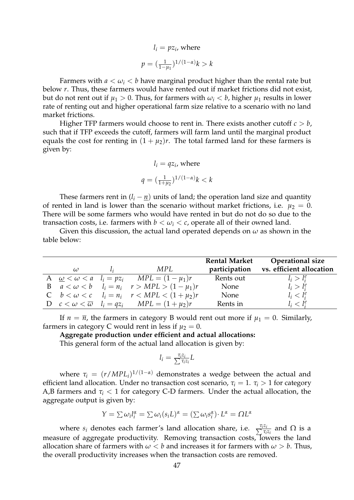$$
l_i = pz_i, \text{ where}
$$
\n
$$
p = \left(\frac{1}{1 - \mu_1}\right)^{1/(1 - \alpha)} k > k
$$

Farmers with  $a < \omega_i < b$  have marginal product higher than the rental rate but below *r*. Thus, these farmers would have rented out if market frictions did not exist, but do not rent out if  $\mu_1 > 0$ . Thus, for farmers with  $\omega_i < b$ , higher  $\mu_1$  results in lower rate of renting out and higher operational farm size relative to a scenario with no land market frictions.

Higher TFP farmers would choose to rent in. There exists another cutoff  $c > b$ , such that if TFP exceeds the cutoff, farmers will farm land until the marginal product equals the cost for renting in  $(1 + \mu_2)r$ . The total farmed land for these farmers is given by:

$$
l_i = qz_i, \text{ where}
$$

$$
q = \left(\frac{1}{1+\mu_2}\right)^{1/(1-\alpha)} k < k
$$

These farmers rent in  $(l_i - n)$  units of land; the operation land size and quantity of rented in land is lower than the scenario without market frictions, i.e.  $\mu_2 = 0$ . There will be some farmers who would have rented in but do not do so due to the transaction costs, i.e. farmers with  $b < \omega_i < c$ , operate all of their owned land.

Given this discussion, the actual land operated depends on *ω* as shown in the table below:

|          |       |                                                                      | <b>Rental Market</b> | <b>Operational size</b>  |
|----------|-------|----------------------------------------------------------------------|----------------------|--------------------------|
| $\omega$ | $l_i$ | MPL                                                                  | participation        | vs. efficient allocation |
|          |       | A $\omega < \omega < a$ $l_i = pz_i$ $MPL = (1 - \mu_1)r$            | Rents out            | $l_i > l_i^e$            |
|          |       | B $a < \omega < b$ $l_i = n_i$ $r > MPL > (1 - \mu_1)r$              | None                 | $l_i > l_i^e$            |
|          |       | C $b < \omega < c$ $l_i = n_i$ $r < MPL < (1 + \mu_2)r$              | None                 | $l_i < l_i^e$            |
|          |       | D $c < \omega < \overline{\omega}$ $l_i = qz_i$ $MPL = (1 + \mu_2)r$ | Rents in             | $l_i < l_i^e$            |

If  $n = \overline{n}$ , the farmers in category B would rent out more if  $\mu_1 = 0$ . Similarly, farmers in category C would rent in less if  $\mu_2 = 0$ .

**Aggregate production under efficient and actual allocations:**

This general form of the actual land allocation is given by:

$$
l_i = \frac{\tau_i z_i}{\sum \tau_i z_i} L
$$

where  $\tau_i = (r/MPL_i)^{1/(1-\alpha)}$  demonstrates a wedge between the actual and efficient land allocation. Under no transaction cost scenario,  $\tau_i = 1$ .  $\tau_i > 1$  for category A,B farmers and *τ<sup>i</sup>* < 1 for category C-D farmers. Under the actual allocation, the aggregate output is given by:

$$
Y = \sum \omega_i l_i^{\alpha} = \sum \omega_i (s_i L)^{\alpha} = (\sum \omega_i s_i^{\alpha}) \cdot L^{\alpha} = \Omega L^{\alpha}
$$

where  $s_i$  denotes each farmer's land allocation share, i.e.  $\frac{\tau_i z_j}{\sum \tau_i}$ *τ<sub>i</sub>z<sub>i</sub>*</sub> and Ω is a measure of aggregate productivity. Removing transaction costs, lowers the land allocation share of farmers with  $\omega < b$  and increases it for farmers with  $\omega > b$ . Thus, the overall productivity increases when the transaction costs are removed.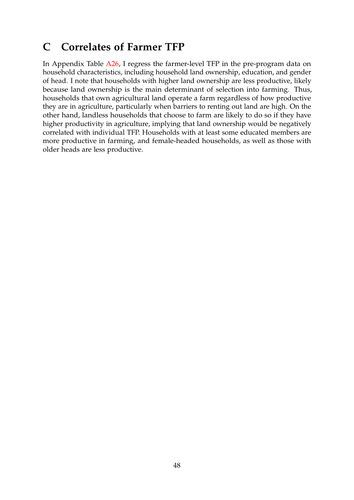## **C Correlates of Farmer TFP**

In Appendix Table A26, I regress the farmer-level TFP in the pre-program data on household characteristics, including household land ownership, education, and gender of head. I note that households with higher land ownership are less productive, likely because land ownership is the main determinant of selection into farming. Thus, households that own agricultural land operate a farm regardless of how productive they are in agriculture, particularly when barriers to renting out land are high. On the other hand, landless households that choose to farm are likely to do so if they have higher productivity in agriculture, implying that land ownership would be negatively correlated with individual TFP. Households with at least some educated members are more productive in farming, and female-headed households, as well as those with older heads are less productive.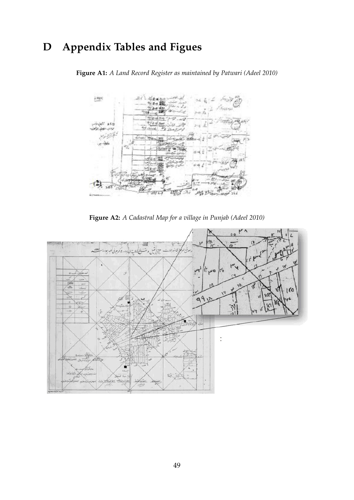# **D Appendix Tables and Figues**

**Figure A1:** *A Land Record Register as maintained by Patwari (Adeel 2010)*



**Figure A2:** *A Cadastral Map for a village in Punjab (Adeel 2010)*

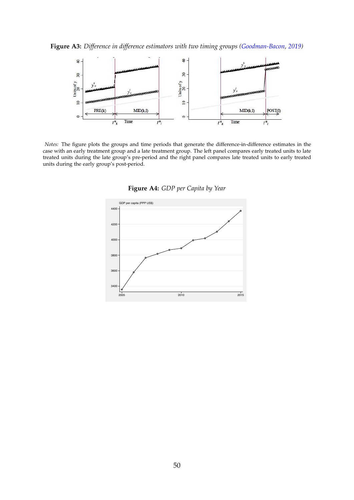**Figure A3:** *Difference in difference estimators with two timing groups (Goodman-Bacon, 2019)*



*Notes:* The figure plots the groups and time periods that generate the difference-in-difference estimates in the case with an early treatment group and a late treatment group. The left panel compares early treated units to late treated units during the late group's pre-period and the right panel compares late treated units to early treated units during the early group's post-period.



**Figure A4:** *GDP per Capita by Year*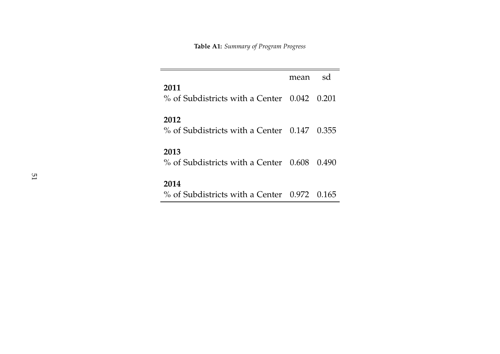**Table A1:** *Summary of Program Progress*

mean sd

**2011**

% of Subdistricts with a Center 0.042 0.201

**2012**

% of Subdistricts with a Center 0.147 0.355

**2013**

% of Subdistricts with a Center 0.608 0.490

**2014**

% of Subdistricts with a Center 0.972 0.165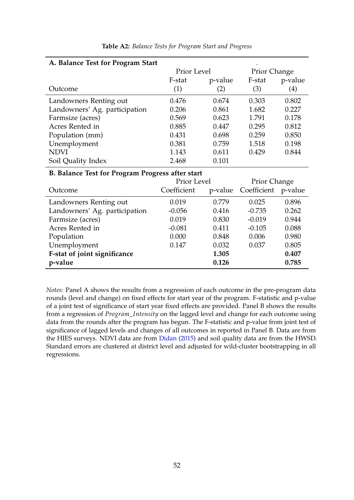| A. Balance Test for Program Start                |             |             |                     |              |  |  |  |
|--------------------------------------------------|-------------|-------------|---------------------|--------------|--|--|--|
|                                                  |             | Prior Level |                     | Prior Change |  |  |  |
|                                                  | F-stat      | p-value     | F-stat              | p-value      |  |  |  |
| Outcome                                          | (1)         | (2)         | (3)                 | (4)          |  |  |  |
| Landowners Renting out                           | 0.476       | 0.674       | 0.303               | 0.802        |  |  |  |
| Landowners' Ag. participation                    | 0.206       | 0.861       | 1.682               | 0.227        |  |  |  |
| Farmsize (acres)                                 | 0.569       | 0.623       | 1.791               | 0.178        |  |  |  |
| Acres Rented in                                  | 0.885       | 0.447       | 0.295               | 0.812        |  |  |  |
| Population (mm)                                  | 0.431       | 0.698       | 0.259               | 0.850        |  |  |  |
| Unemployment                                     | 0.381       | 0.759       | 1.518               | 0.198        |  |  |  |
| <b>NDVI</b>                                      | 1.143       | 0.611       | 0.429               | 0.844        |  |  |  |
| Soil Quality Index                               | 2.468       | 0.101       |                     |              |  |  |  |
| B. Balance Test for Program Progress after start |             |             |                     |              |  |  |  |
|                                                  | Prior Level |             | <b>Prior Change</b> |              |  |  |  |
| Outcome                                          | Coefficient | p-value     | Coefficient p-value |              |  |  |  |
| Landowners Renting out                           | 0.019       | 0.779       | 0.025               | 0.896        |  |  |  |
| Landowners' Ag. participation                    | $-0.056$    | 0.416       | $-0.735$            | 0.262        |  |  |  |
| Farmsize (acres)                                 | 0.019       | 0.830       | $-0.019$            | 0.944        |  |  |  |
| Acres Rented in                                  | $-0.081$    | 0.411       | $-0.105$            | 0.088        |  |  |  |
| Population                                       | 0.000       | 0.848       | 0.006               | 0.980        |  |  |  |
| Unemployment                                     | 0.147       | 0.032       | 0.037               | 0.805        |  |  |  |
| F-stat of joint significance                     |             | 1.305       |                     | 0.407        |  |  |  |

**Table A2:** *Balance Tests for Program Start and Progress*

*Notes:* Panel A shows the results from a regression of each outcome in the pre-program data rounds (level and change) on fixed effects for start year of the program. F-statistic and p-value of a joint test of significance of start year fixed effects are provided. Panel B shows the results from a regression of *Program*\_*Intensity* on the lagged level and change for each outcome using data from the rounds after the program has begun. The F-statistic and p-value from joint test of significance of lagged levels and changes of all outcomes in reported in Panel B. Data are from the HIES surveys. NDVI data are from Didan (2015) and soil quality data are from the HWSD. Standard errors are clustered at district level and adjusted for wild-cluster bootstrapping in all regressions.

**p-value 0.126 0.785**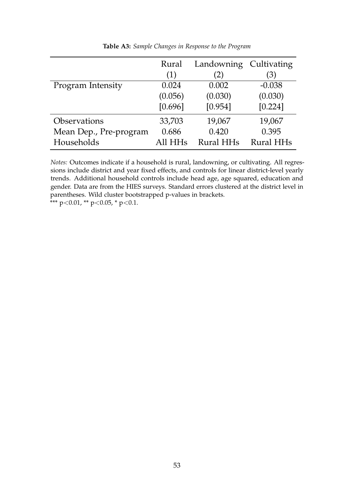|                        | Rural<br>(1)        | Landowning Cultivating<br>(2) | (3)              |
|------------------------|---------------------|-------------------------------|------------------|
| Program Intensity      | 0.024               | 0.002                         | $-0.038$         |
|                        | (0.056)             | (0.030)                       | (0.030)          |
|                        | [0.696]             | [0.954]                       | [0.224]          |
| <b>Observations</b>    | 33,703              | 19,067                        | 19,067           |
| Mean Dep., Pre-program | 0.686               | 0.420                         | 0.395            |
| Households             | All HH <sub>s</sub> | <b>Rural HHs</b>              | <b>Rural HHs</b> |

**Table A3:** *Sample Changes in Response to the Program*

*Notes:* Outcomes indicate if a household is rural, landowning, or cultivating. All regressions include district and year fixed effects, and controls for linear district-level yearly trends. Additional household controls include head age, age squared, education and gender. Data are from the HIES surveys. Standard errors clustered at the district level in parentheses. Wild cluster bootstrapped p-values in brackets. \*\*\* p<0.01, \*\* p<0.05, \* p<0.1.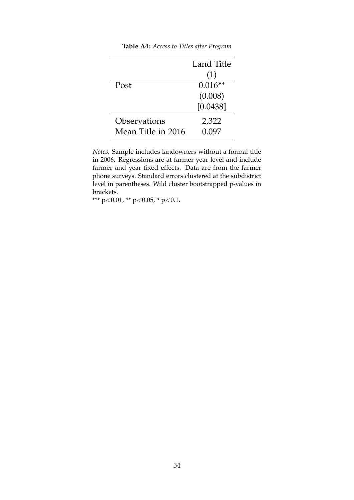|                    | Land Title |
|--------------------|------------|
|                    | (1)        |
| Post               | $0.016**$  |
|                    | (0.008)    |
|                    | [0.0438]   |
| Observations       | 2,322      |
| Mean Title in 2016 | 0.097      |

**Table A4:** *Access to Titles after Program*

*Notes:* Sample includes landowners without a formal title in 2006. Regressions are at farmer-year level and include farmer and year fixed effects. Data are from the farmer phone surveys. Standard errors clustered at the subdistrict level in parentheses. Wild cluster bootstrapped p-values in brackets.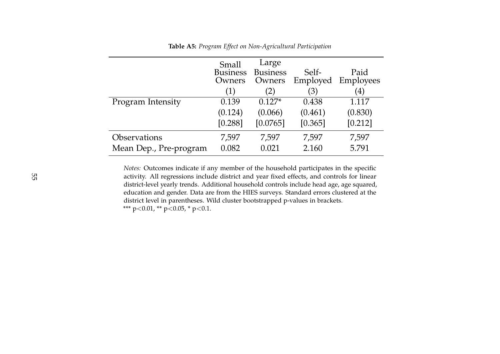|                        | Small<br><b>Business</b><br>Owners<br>(1) | Large<br><b>Business</b><br>Owners<br>(2) | Self-<br>Employed<br>3) | Paid<br>Employees<br><sup>(4)</sup> |
|------------------------|-------------------------------------------|-------------------------------------------|-------------------------|-------------------------------------|
| Program Intensity      | 0.139                                     | $0.127*$                                  | 0.438                   | 1.117                               |
|                        | (0.124)                                   | (0.066)                                   | (0.461)                 | (0.830)                             |
|                        | [0.288]                                   | [0.0765]                                  | [0.365]                 | [0.212]                             |
| Observations           | 7,597                                     | 7,597                                     | 7,597                   | 7,597                               |
| Mean Dep., Pre-program | 0.082                                     | 0.021                                     | 2.160                   | 5.791                               |

**Table A5:** *Program Effect on Non-Agricultural Participation*

*Notes:* Outcomes indicate if any member of the household participates in the specific activity. All regressions include district and year fixed effects, and controls for linear district-level yearly trends. Additional household controls include head age, age squared, education and gender. Data are from the HIES surveys. Standard errors clustered at the district level in parentheses. Wild cluster bootstrapped p-values in brackets. \*\*\* p<0.01, \*\* p<0.05, \* p<0.1.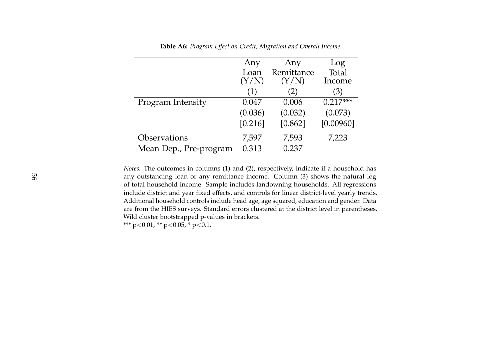|                        | Any     | Any        | Log        |
|------------------------|---------|------------|------------|
|                        | Loan    | Remittance | Total      |
|                        | (Y/N)   | (Y/N)      | Income     |
|                        | (1)     | (2)        | 3)         |
| Program Intensity      | 0.047   | 0.006      | $0.217***$ |
|                        | (0.036) | (0.032)    | (0.073)    |
|                        | [0.216] | [0.862]    | [0.00960]  |
| Observations           | 7,597   | 7,593      | 7,223      |
| Mean Dep., Pre-program | 0.313   | 0.237      |            |

**Table A6:** *Program Effect on Credit, Migration and Overall Income*

*Notes:* The outcomes in columns (1) and (2), respectively, indicate if a household has any outstanding loan or any remittance income. Column (3) shows the natural log of total household income. Sample includes landowning households. All regressions include district and year fixed effects, and controls for linear district-level yearly trends. Additional household controls include head age, age squared, education and gender. Data are from the HIES surveys. Standard errors clustered at the district level in parentheses. Wild cluster bootstrapped p-values in brackets.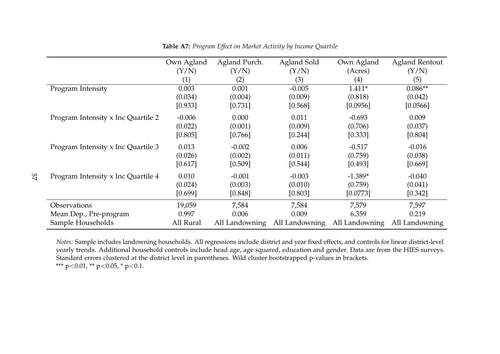|               |                                    | Own Agland | Agland Purch.  | Agland Sold    | Own Agland     | <b>Agland Rentout</b> |
|---------------|------------------------------------|------------|----------------|----------------|----------------|-----------------------|
|               |                                    | (Y/N)      | (Y/N)          | (Y/N)          | (Acres)        | (Y/N)                 |
|               |                                    | (1)        | (2)            | (3)            | (4)            | (5)                   |
|               | Program Intensity                  | 0.003      | 0.001          | $-0.005$       | $1.411*$       | $0.086**$             |
|               |                                    | (0.034)    | (0.004)        | (0.009)        | (0.818)        | (0.042)               |
|               |                                    | [0.933]    | [0.731]        | [0.568]        | [0.0956]       | [0.0566]              |
|               | Program Intensity x Inc Quartile 2 | $-0.006$   | 0.000          | 0.011          | $-0.693$       | 0.009                 |
|               |                                    | (0.022)    | (0.001)        | (0.009)        | (0.706)        | (0.037)               |
|               |                                    | [0.805]    | [0.766]        | [0.244]        | [0.333]        | [0.804]               |
|               | Program Intensity x Inc Quartile 3 | 0.013      | $-0.002$       | 0.006          | $-0.517$       | $-0.016$              |
|               |                                    | (0.026)    | (0.002)        | (0.011)        | (0.759)        | (0.038)               |
|               |                                    | [0.617]    | [0.509]        | [0.544]        | [0.493]        | [0.669]               |
| $\mathcal{L}$ | Program Intensity x Inc Quartile 4 | 0.010      | $-0.001$       | $-0.003$       | $-1.389*$      | $-0.040$              |
|               |                                    | (0.024)    | (0.003)        | (0.010)        | (0.759)        | (0.041)               |
|               |                                    | [0.699]    | [0.848]        | [0.803]        | [0.0773]       | [0.342]               |
|               | Observations                       | 19,059     | 7,584          | 7,584          | 7,579          | 7,597                 |
|               | Mean Dep., Pre-program             | 0.997      | 0.006          | 0.009          | 6.359          | 0.219                 |
|               | Sample Households                  | All Rural  | All Landowning | All Landowning | All Landowning | All Landowning        |

**Table A7:** *Program Effect on Market Activity by Income Quartile*

*Notes:* Sample includes landowning households. All regressions include district and year fixed effects, and controls for linear district-level yearly trends. Additional household controls include head age, age squared, education and gender. Data are from the HIES surveys. Standard errors clustered at the district level in parentheses. Wild cluster bootstrapped p-values in brackets. \*\*\* p<0.01, \*\* p<0.05, \* p<0.1.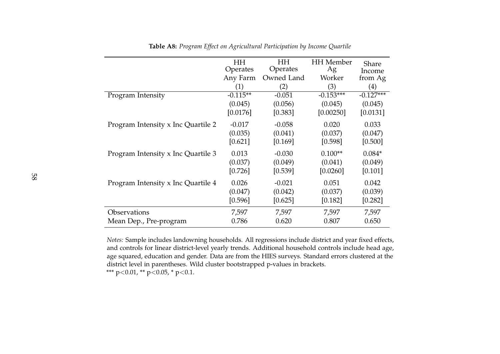|                                    | <b>HH</b>  | HH         | <b>HH</b> Member | Share       |
|------------------------------------|------------|------------|------------------|-------------|
|                                    | Operates   | Operates   | Ag               | Income      |
|                                    | Any Farm   | Owned Land | Worker           | from Ag     |
|                                    | (1)        | (2)        | (3)              | (4)         |
| Program Intensity                  | $-0.115**$ | $-0.051$   | $-0.153***$      | $-0.127***$ |
|                                    | (0.045)    | (0.056)    | (0.045)          | (0.045)     |
|                                    | $[0.0176]$ | [0.383]    | [0.00250]        | [0.0131]    |
| Program Intensity x Inc Quartile 2 | $-0.017$   | $-0.058$   | 0.020            | 0.033       |
|                                    | (0.035)    | (0.041)    | (0.037)          | (0.047)     |
|                                    | [0.621]    | [0.169]    | [0.598]          | [0.500]     |
| Program Intensity x Inc Quartile 3 | 0.013      | $-0.030$   | $0.100**$        | $0.084*$    |
|                                    | (0.037)    | (0.049)    | (0.041)          | (0.049)     |
|                                    | [0.726]    | [0.539]    | [0.0260]         | [0.101]     |
| Program Intensity x Inc Quartile 4 | 0.026      | $-0.021$   | 0.051            | 0.042       |
|                                    | (0.047)    | (0.042)    | (0.037)          | (0.039)     |
|                                    | [0.596]    | [0.625]    | [0.182]          | [0.282]     |
| Observations                       | 7,597      | 7,597      | 7,597            | 7,597       |
| Mean Dep., Pre-program             | 0.786      | 0.620      | 0.807            | 0.650       |

**Table A8:** *Program Effect on Agricultural Participation by Income Quartile*

*Notes:* Sample includes landowning households. All regressions include district and year fixed effects, and controls for linear district-level yearly trends. Additional household controls include head age, age squared, education and gender. Data are from the HIES surveys. Standard errors clustered at the district level in parentheses. Wild cluster bootstrapped p-values in brackets.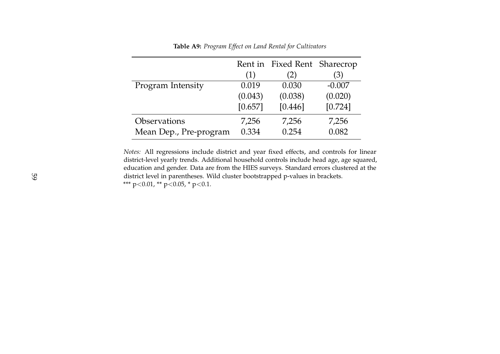|                        |         | Rent in Fixed Rent Sharecrop |          |
|------------------------|---------|------------------------------|----------|
|                        | (1)     | (2)                          | (3)      |
| Program Intensity      | 0.019   | 0.030                        | $-0.007$ |
|                        | (0.043) | (0.038)                      | (0.020)  |
|                        | [0.657] | [0.446]                      | [0.724]  |
| <b>Observations</b>    | 7,256   | 7,256                        | 7,256    |
| Mean Dep., Pre-program | 0.334   | 0.254                        | 0.082    |

**Table A9:** *Program Effect on Land Rental for Cultivators*

*Notes:* All regressions include district and year fixed effects, and controls for linear district-level yearly trends. Additional household controls include head age, age squared, education and gender. Data are from the HIES surveys. Standard errors clustered at the district level in parentheses. Wild cluster bootstrapped p-values in brackets. \*\*\* p<0.01, \*\* p<0.05, \* p<0.1.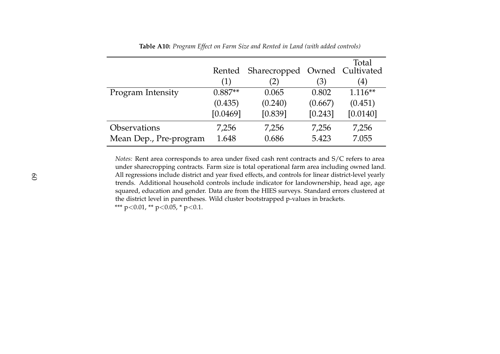| Rented    |         |         | Total                         |
|-----------|---------|---------|-------------------------------|
| (1)       | (2)     | (3)     | (4)                           |
| $0.887**$ | 0.065   | 0.802   | $1.116**$                     |
| (0.435)   | (0.240) | (0.667) | (0.451)                       |
| [0.0469]  | [0.839] | [0.243] | [0.0140]                      |
| 7,256     | 7,256   | 7,256   | 7,256                         |
| 1.648     | 0.686   | 5.423   | 7.055                         |
|           |         |         | Sharecropped Owned Cultivated |

**Table A10:** *Program Effect on Farm Size and Rented in Land (with added controls)*

*Notes:* Rent area corresponds to area under fixed cash rent contracts and S/C refers to area under sharecropping contracts. Farm size is total operational farm area including owned land. All regressions include district and year fixed effects, and controls for linear district-level yearly trends. Additional household controls include indicator for landownership, head age, age squared, education and gender. Data are from the HIES surveys. Standard errors clustered at the district level in parentheses. Wild cluster bootstrapped p-values in brackets. \*\*\* p<0.01, \*\* p<0.05, \* p<0.1.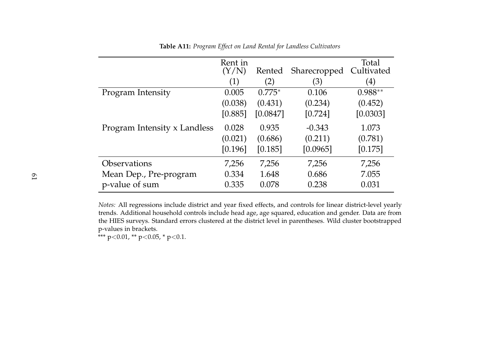|                              | Rent in<br>(Y/N) | Rented   | Sharecropped | Total<br>Cultivated |
|------------------------------|------------------|----------|--------------|---------------------|
|                              | (1)              | (2)      | (3)          | $\left( 4\right)$   |
| Program Intensity            | 0.005            | $0.775*$ | 0.106        | $0.988**$           |
|                              | (0.038)          | (0.431)  | (0.234)      | (0.452)             |
|                              | [0.885]          | [0.0847] | [0.724]      | [0.0303]            |
| Program Intensity x Landless | 0.028            | 0.935    | $-0.343$     | 1.073               |
|                              | (0.021)          | (0.686)  | (0.211)      | (0.781)             |
|                              | [0.196]          | [0.185]  | [0.0965]     | [0.175]             |
| <b>Observations</b>          | 7,256            | 7,256    | 7,256        | 7,256               |
| Mean Dep., Pre-program       | 0.334            | 1.648    | 0.686        | 7.055               |
| p-value of sum               | 0.335            | 0.078    | 0.238        | 0.031               |

**Table A11:** *Program Effect on Land Rental for Landless Cultivators*

*Notes:* All regressions include district and year fixed effects, and controls for linear district-level yearly trends. Additional household controls include head age, age squared, education and gender. Data are from the HIES surveys. Standard errors clustered at the district level in parentheses. Wild cluster bootstrapped p-values in brackets.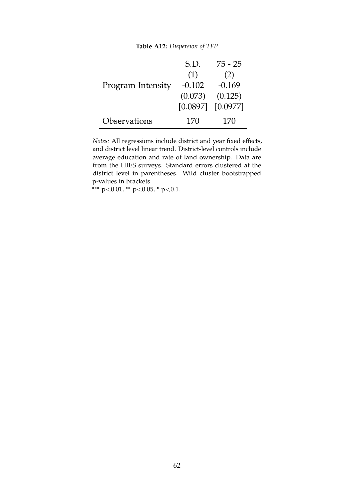|                     | S.D.     | $75 - 25$ |
|---------------------|----------|-----------|
|                     | (1)      | (2)       |
| Program Intensity   | $-0.102$ | $-0.169$  |
|                     | (0.073)  | (0.125)   |
|                     | [0.0897] | [0.0977]  |
| <b>Observations</b> | 170      | 170       |

**Table A12:** *Dispersion of TFP*

*Notes:* All regressions include district and year fixed effects, and district level linear trend. District-level controls include average education and rate of land ownership. Data are from the HIES surveys. Standard errors clustered at the district level in parentheses. Wild cluster bootstrapped p-values in brackets.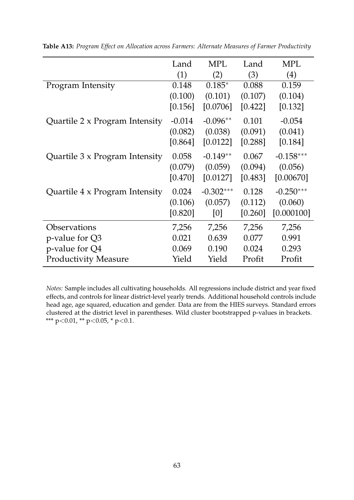|                                | Land     | <b>MPL</b>  | Land    | MPL         |
|--------------------------------|----------|-------------|---------|-------------|
|                                | (1)      | (2)         | (3)     | (4)         |
| Program Intensity              | 0.148    | $0.185*$    | 0.088   | 0.159       |
|                                | (0.100)  | (0.101)     | (0.107) | (0.104)     |
|                                | [0.156]  | [0.0706]    | [0.422] | [0.132]     |
| Quartile 2 x Program Intensity | $-0.014$ | $-0.096**$  | 0.101   | $-0.054$    |
|                                | (0.082)  | (0.038)     | (0.091) | (0.041)     |
|                                | [0.864]  | [0.0122]    | [0.288] | [0.184]     |
| Quartile 3 x Program Intensity | 0.058    | $-0.149**$  | 0.067   | $-0.158***$ |
|                                | (0.079)  | (0.059)     | (0.094) | (0.056)     |
|                                | [0.470]  | [0.0127]    | [0.483] | [0.00670]   |
| Quartile 4 x Program Intensity | 0.024    | $-0.302***$ | 0.128   | $-0.250***$ |
|                                | (0.106)  | (0.057)     | (0.112) | (0.060)     |
|                                | [0.820]  | [0]         | [0.260] | [0.000100]  |
| <b>Observations</b>            | 7,256    | 7,256       | 7,256   | 7,256       |
| p-value for Q3                 | 0.021    | 0.639       | 0.077   | 0.991       |
| p-value for Q4                 | 0.069    | 0.190       | 0.024   | 0.293       |
| <b>Productivity Measure</b>    | Yield    | Yield       | Profit  | Profit      |

**Table A13:** *Program Effect on Allocation across Farmers: Alternate Measures of Farmer Productivity*

*Notes:* Sample includes all cultivating households. All regressions include district and year fixed effects, and controls for linear district-level yearly trends. Additional household controls include head age, age squared, education and gender. Data are from the HIES surveys. Standard errors clustered at the district level in parentheses. Wild cluster bootstrapped p-values in brackets. \*\*\* p<0.01, \*\* p<0.05, \* p<0.1.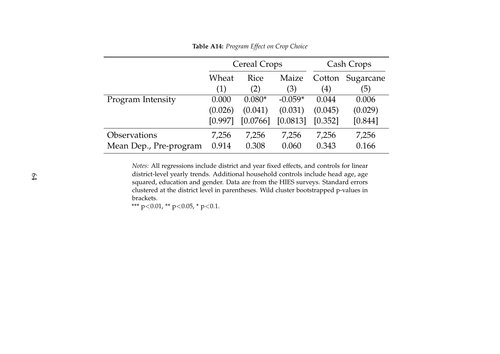| Table A14: Program Effect on Crop Choice |  |  |  |
|------------------------------------------|--|--|--|
|------------------------------------------|--|--|--|

|                        |         | <b>Cereal Crops</b> | Cash Crops |                   |                  |
|------------------------|---------|---------------------|------------|-------------------|------------------|
|                        | Wheat   | <b>Rice</b>         | Maize      |                   | Cotton Sugarcane |
|                        | (1)     | (2)                 | (3)        | $\left( 4\right)$ | (5)              |
| Program Intensity      | 0.000   | $0.080*$            | $-0.059*$  | 0.044             | 0.006            |
|                        | (0.026) | (0.041)             | (0.031)    | (0.045)           | (0.029)          |
|                        | [0.997] | [0.0766]            | [0.0813]   | [0.352]           | [0.844]          |
| Observations           | 7,256   | 7,256               | 7,256      | 7,256             | 7,256            |
| Mean Dep., Pre-program | 0.914   | 0.308               | 0.060      | 0.343             | 0.166            |

*Notes:* All regressions include district and year fixed effects, and controls for linear district-level yearly trends. Additional household controls include head age, age squared, education and gender. Data are from the HIES surveys. Standard errors clustered at the district level in parentheses. Wild cluster bootstrapped p-values in brackets.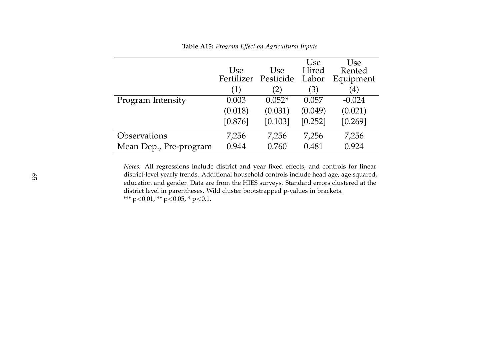|                        | Use<br>Fertilizer | Use<br>Pesticide | Use<br>Hired<br>Labor | Use<br>Rented<br>Equipment |
|------------------------|-------------------|------------------|-----------------------|----------------------------|
|                        | (1)               | (2)              | (3)                   | 4)                         |
| Program Intensity      | 0.003             | $0.052*$         | 0.057                 | $-0.024$                   |
|                        | (0.018)           | (0.031)          | (0.049)               | (0.021)                    |
|                        | [0.876]           | [0.103]          | [0.252]               | [0.269]                    |
| <b>Observations</b>    | 7,256             | 7,256            | 7,256                 | 7,256                      |
| Mean Dep., Pre-program | 0.944             | 0.760            | 0.481                 | 0.924                      |

**Table A15:** *Program Effect on Agricultural Inputs*

*Notes:* All regressions include district and year fixed effects, and controls for linear district-level yearly trends. Additional household controls include head age, age squared, education and gender. Data are from the HIES surveys. Standard errors clustered at the district level in parentheses. Wild cluster bootstrapped p-values in brackets. \*\*\* p<0.01, \*\* p<0.05, \* p<0.1.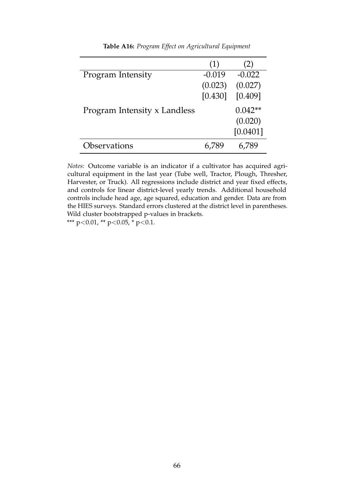|                              | (1)      | (2)       |
|------------------------------|----------|-----------|
| Program Intensity            | $-0.019$ | $-0.022$  |
|                              | (0.023)  | (0.027)   |
|                              | [0.430]  | [0.409]   |
| Program Intensity x Landless |          | $0.042**$ |
|                              |          | (0.020)   |
|                              |          | [0.0401]  |
| Observations                 |          | 6.789     |

**Table A16:** *Program Effect on Agricultural Equipment*

*Notes:* Outcome variable is an indicator if a cultivator has acquired agricultural equipment in the last year (Tube well, Tractor, Plough, Thresher, Harvester, or Truck). All regressions include district and year fixed effects, and controls for linear district-level yearly trends. Additional household controls include head age, age squared, education and gender. Data are from the HIES surveys. Standard errors clustered at the district level in parentheses. Wild cluster bootstrapped p-values in brackets.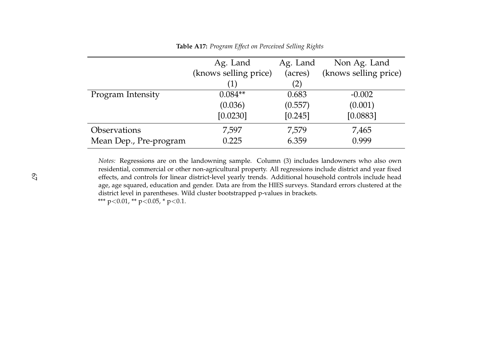|                        | Ag. Land              | Ag. Land | Non Ag. Land          |
|------------------------|-----------------------|----------|-----------------------|
|                        | (knows selling price) | (acres)  | (knows selling price) |
|                        | (1)                   | (2)      |                       |
| Program Intensity      | $0.084**$             | 0.683    | $-0.002$              |
|                        | (0.036)               | (0.557)  | (0.001)               |
|                        | [0.0230]              | [0.245]  | [0.0883]              |
| <b>Observations</b>    | 7,597                 | 7,579    | 7,465                 |
| Mean Dep., Pre-program | 0.225                 | 6.359    | 0.999                 |

**Table A17:** *Program Effect on Perceived Selling Rights*

*Notes:* Regressions are on the landowning sample. Column (3) includes landowners who also own residential, commercial or other non-agricultural property. All regressions include district and year fixed effects, and controls for linear district-level yearly trends. Additional household controls include head age, age squared, education and gender. Data are from the HIES surveys. Standard errors clustered at the district level in parentheses. Wild cluster bootstrapped p-values in brackets. \*\*\* p<0.01, \*\* p<0.05, \* p<0.1.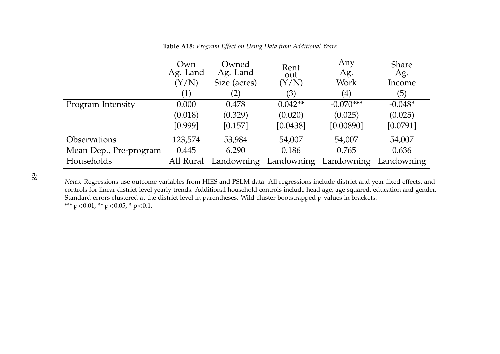|                        | Own<br>Ag. Land | Owned<br>Ag. Land                 | Rent<br>out  | Any<br>Ag.                | <b>Share</b><br>Ag. |
|------------------------|-----------------|-----------------------------------|--------------|---------------------------|---------------------|
|                        | (Y/N)<br>(1)    | Size (acres)<br>$\left( 2\right)$ | (Y/N)<br>(3) | Work<br>$\left( 4\right)$ | Income<br>(5)       |
| Program Intensity      | 0.000           | 0.478                             | $0.042**$    | $-0.070***$               | $-0.048*$           |
|                        | (0.018)         | (0.329)                           | (0.020)      | (0.025)                   | (0.025)             |
|                        | [0.999]         | [0.157]                           | [0.0438]     | [0.00890]                 | [0.0791]            |
| <b>Observations</b>    | 123,574         | 53,984                            | 54,007       | 54,007                    | 54,007              |
| Mean Dep., Pre-program | 0.445           | 6.290                             | 0.186        | 0.765                     | 0.636               |
| Households             | All Rural       | Landowning                        | Landowning   | Landowning                | Landowning          |

**Table A18:** *Program Effect on Using Data from Additional Years*

68

*Notes:* Regressions use outcome variables from HIES and PSLM data. All regressions include district and year fixed effects, and controls for linear district-level yearly trends. Additional household controls include head age, age squared, education and gender. Standard errors clustered at the district level in parentheses. Wild cluster bootstrapped p-values in brackets. \*\*\* p<0.01, \*\* p<0.05, \* p<0.1.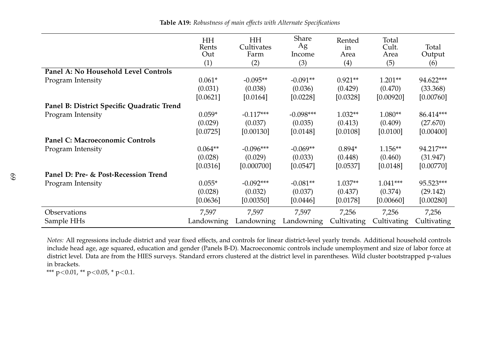HH Rents Out HH **Cultivates** Farm Share Ag Income Rented in Area Total Cult. Area Total Output (1) (2) (3) (4) (5) (6) **Panel A: No Household Level Controls** Program Intensity  $0.061^*$  -0.095<sup>\*\*</sup> -0.091<sup>\*\*</sup> 0.921<sup>\*\*</sup> 1.201<sup>\*\*</sup> 94.622<sup>\*\*\*</sup><br>(0.031) (0.038) (0.036) (0.429) (0.470) (33.368)  $(0.031)$   $(0.038)$   $(0.036)$   $(0.429)$   $(0.470)$   $(33.368)$  $[0.0621]$   $[0.0164]$   $[0.0228]$   $[0.0328]$   $[0.00920]$   $[0.00760]$ **Panel B: District Specific Quadratic Trend** Program Intensity **COLOGY**  $0.059^*$   $-0.117^{***}$   $-0.098^{***}$   $1.032^{**}$   $1.080^{**}$   $86.414^{***}$ <br>  $(0.029)$   $(0.037)$   $(0.035)$   $(0.413)$   $(0.409)$   $(27.670)$  $(0.029)$   $(0.037)$   $(0.035)$   $(0.413)$   $(0.409)$   $(27.670)$  $[0.0725]$   $[0.00130]$   $[0.0148]$   $[0.0108]$   $[0.0100]$   $[0.00400]$ **Panel C: Macroeconomic Controls** Program Intensity 0.064\*\*  $0.064**$  -0.096\*\*\*  $-0.069**$  0.894\*  $1.156**$  94.217\*\*\*  $(0.028)$   $(0.029)$   $(0.033)$   $(0.448)$   $(0.460)$   $(31.947)$ [0.0316] [0.000700] [0.0547] [0.0537] [0.0148] [0.00770] **Panel D: Pre- & Post-Recession Trend** Program Intensity  $0.055^*$   $-0.092^{***}$   $-0.081^{**}$   $1.037^{**}$   $1.041^{***}$   $95.523^{***}$  $(0.028)$   $(0.032)$   $(0.037)$   $(0.437)$   $(0.374)$   $(29.142)$  $[0.0636]$   $[0.00350]$   $[0.0446]$   $[0.0178]$   $[0.00660]$   $[0.00280]$ Observations 7,597 7,597 7,597 7,256 7,256 7,256 Sample HHs Landowning Landowning Landowning Cultivating Cultivating Cultivating

**Table A19:** *Robustness of main effects with Alternate Specifications*

*Notes:* All regressions include district and year fixed effects, and controls for linear district-level yearly trends. Additional household controls include head age, age squared, education and gender (Panels B-D). Macroeconomic controls include unemployment and size of labor force at district level. Data are from the HIES surveys. Standard errors clustered at the district level in parentheses. Wild cluster bootstrapped p-values in brackets.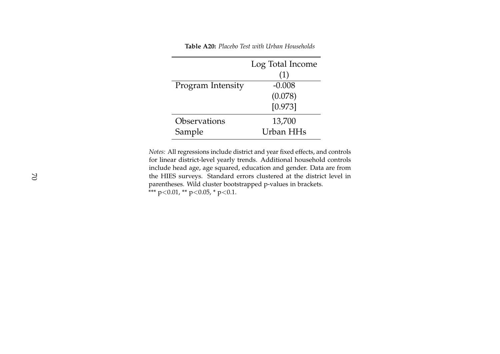|  | <b>Table A20:</b> Placebo Test with Urban Households |  |  |  |
|--|------------------------------------------------------|--|--|--|
|  |                                                      |  |  |  |

|                   | Log Total Income |
|-------------------|------------------|
|                   | (1)              |
| Program Intensity | $-0.008$         |
|                   | (0.078)          |
|                   | [0.973]          |
| Observations      | 13,700           |
| Sample            | Urban HHs        |

*Notes:* All regressions include district and year fixed effects, and controls for linear district-level yearly trends. Additional household controls include head age, age squared, education and gender. Data are from the HIES surveys. Standard errors clustered at the district level in parentheses. Wild cluster bootstrapped p-values in brackets. \*\*\* p<0.01, \*\* p<0.05, \* p<0.1.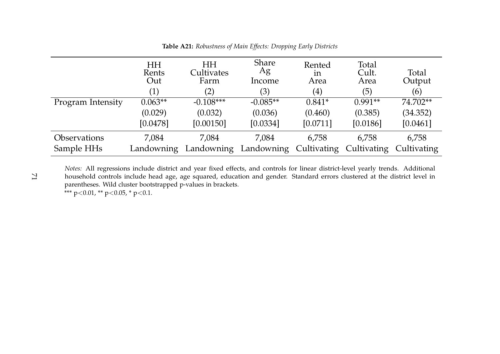|                     | <b>HH</b><br>Rents<br>Out<br>$\left( 1\right)$ | <b>HH</b><br>Cultivates<br>Farm<br>$\left( 2\right)$ | <b>Share</b><br>Ag<br>Income<br>(3) | Rented<br>1n<br>Area<br>$\left( 4\right)$ | Total<br>Cult.<br>Area<br>(5) | Total<br>Output<br>(6) |
|---------------------|------------------------------------------------|------------------------------------------------------|-------------------------------------|-------------------------------------------|-------------------------------|------------------------|
| Program Intensity   | $0.063**$                                      | $-0.108***$                                          | $-0.085**$                          | $0.841*$                                  | $0.991**$                     | 74.702**               |
|                     | (0.029)                                        | (0.032)                                              | (0.036)                             | (0.460)                                   | (0.385)                       | (34.352)               |
|                     | [0.0478]                                       | [0.00150]                                            | [0.0334]                            | [0.0711]                                  | [0.0186]                      | [0.0461]               |
| <b>Observations</b> | 7,084                                          | 7,084                                                | 7,084                               | 6,758                                     | 6,758                         | 6,758                  |
| Sample HHs          | Landowning                                     | Landowning                                           | Landowning                          | Cultivating                               | Cultivating                   | Cultivating            |

**Table A21:** *Robustness of Main Effects: Dropping Early Districts*

*Notes:* All regressions include district and year fixed effects, and controls for linear district-level yearly trends. Additional household controls include head age, age squared, education and gender. Standard errors clustered at the district level in parentheses. Wild cluster bootstrapped p-values in brackets.

\*\*\* p<0.01, \*\* p<0.05, \* p<0.1.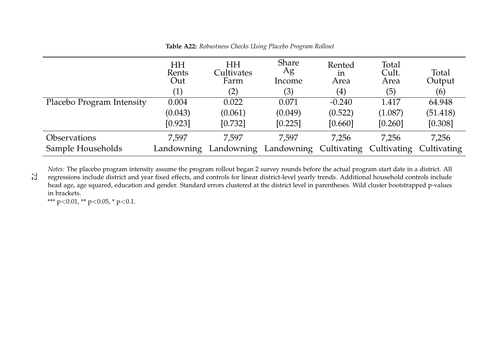|                           | <b>HH</b><br>Rents<br>Out<br>$\left( 1\right)$ | <b>HH</b><br>Cultivates<br>Farm<br>(2) | <b>Share</b><br>Ag<br>Income<br>(3) | Rented<br>in<br>Area<br>(4) | Total<br>Cult.<br>Area<br>(5) | Total<br>Output<br>(6) |
|---------------------------|------------------------------------------------|----------------------------------------|-------------------------------------|-----------------------------|-------------------------------|------------------------|
| Placebo Program Intensity | 0.004                                          | 0.022                                  | 0.071                               | $-0.240$                    | 1.417                         | 64.948                 |
|                           | (0.043)                                        | (0.061)                                | (0.049)                             | (0.522)                     | (1.087)                       | (51.418)               |
|                           | [0.923]                                        | [0.732]                                | [0.225]                             | [0.660]                     | [0.260]                       | [0.308]                |
| <b>Observations</b>       | 7.597                                          | 7,597                                  | 7,597                               | 7,256                       | 7,256                         | 7,256                  |
| Sample Households         | Landowning                                     | Landowning                             | Landowning Cultivating Cultivating  |                             |                               | Cultivating            |

**Table A22:** *Robustness Checks Using Placebo Program Rollout*

*Notes:* The placebo program intensity assume the program rollout began 2 survey rounds before the actual program start date in a district. All regressions include district and year fixed effects, and controls for linear district-level yearly trends. Additional household controls include head age, age squared, education and gender. Standard errors clustered at the district level in parentheses. Wild cluster bootstrapped p-values in brackets.

\*\*\* p<0.01, \*\* p<0.05, \* p<0.1.

72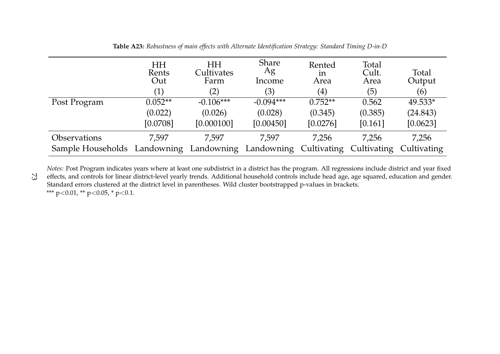|                                                                | <b>HH</b><br>Rents<br>Out<br>(1) | <b>HH</b><br>Cultivates<br>Farm<br>(2) | <b>Share</b><br>Ag<br>Income<br>(3) | Rented<br>1n<br>Area<br>$\left( 4\right)$ | Total<br>Cult.<br>Area<br>(5) | Total<br>Output<br>(6) |
|----------------------------------------------------------------|----------------------------------|----------------------------------------|-------------------------------------|-------------------------------------------|-------------------------------|------------------------|
| Post Program                                                   | $0.052**$                        | $-0.106***$                            | $-0.094***$                         | $0.752**$                                 | 0.562                         | 49.533*                |
|                                                                | (0.022)                          | (0.026)                                | (0.028)                             | (0.345)                                   | (0.385)                       | (24.843)               |
|                                                                | [0.0708]                         | [0.000100]                             | [0.00450]                           | [0.0276]                                  | [0.161]                       | [0.0623]               |
| <b>Observations</b>                                            | 7,597                            | 7,597                                  | 7,597                               | 7,256                                     | 7,256                         | 7,256                  |
| Sample Households Landowning Landowning Landowning Cultivating |                                  |                                        |                                     |                                           | Cultivating                   | Cultivating            |

**Table A23:** *Robustness of main effects with Alternate Identification Strategy: Standard Timing D-in-D*

*Notes:* Post Program indicates years where at least one subdistrict in a district has the program. All regressions include district and year fixed effects, and controls for linear district-level yearly trends. Additional household controls include head age, age squared, education and gender. Standard errors clustered at the district level in parentheses. Wild cluster bootstrapped p-values in brackets. \*\*\* p<0.01, \*\* p<0.05, \* p<0.1. 73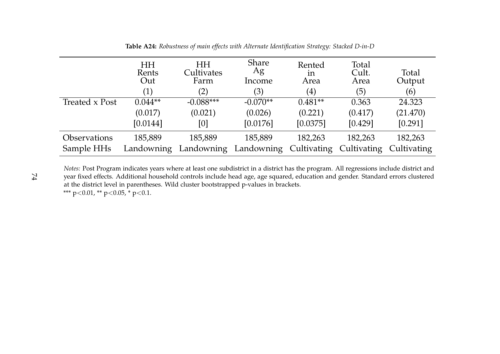|                     | <b>HH</b><br>Rents<br>Out<br>(1) | <b>HH</b><br>Cultivates<br>Farm<br>(2) | <b>Share</b><br>Ag<br>Income<br>(3) | Rented<br>in<br>Area<br>$\left( 4\right)$ | Total<br>Cult.<br>Area<br>(5) | Total<br>Output<br>(6) |
|---------------------|----------------------------------|----------------------------------------|-------------------------------------|-------------------------------------------|-------------------------------|------------------------|
| Treated x Post      | $0.044**$                        | $-0.088***$                            | $-0.070**$                          | $0.481**$                                 | 0.363                         | 24.323                 |
|                     | (0.017)                          | (0.021)                                | (0.026)                             | (0.221)                                   | (0.417)                       | (21.470)               |
|                     | [0.0144]                         | [0]                                    | [0.0176]                            | [0.0375]                                  | [0.429]                       | [0.291]                |
| <b>Observations</b> | 185,889                          | 185,889                                | 185,889                             | 182,263                                   | 182,263                       | 182,263                |
| Sample HHs          | Landowning                       |                                        | Landowning Landowning               | Cultivating                               | Cultivating                   | Cultivating            |

**Table A24:** *Robustness of main effects with Alternate Identification Strategy: Stacked D-in-D*

*Notes:* Post Program indicates years where at least one subdistrict in a district has the program. All regressions include district and year fixed effects. Additional household controls include head age, age squared, education and gender. Standard errors clustered at the district level in parentheses. Wild cluster bootstrapped p-values in brackets. \*\*\* p<0.01, \*\* p<0.05, \* p<0.1.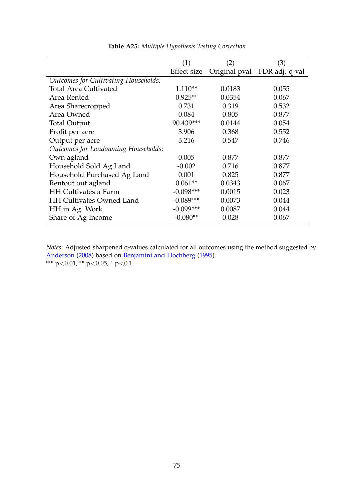|                                             | (1)         | (2)           | (3)            |
|---------------------------------------------|-------------|---------------|----------------|
|                                             | Effect size | Original pval | FDR adj. q-val |
| <b>Outcomes for Cultivating Households:</b> |             |               |                |
| <b>Total Area Cultivated</b>                | $1.110**$   | 0.0183        | 0.055          |
| Area Rented                                 | $0.925**$   | 0.0354        | 0.067          |
| Area Sharecropped                           | 0.731       | 0.319         | 0.532          |
| Area Owned                                  | 0.084       | 0.805         | 0.877          |
| <b>Total Output</b>                         | 90.439***   | 0.0144        | 0.054          |
| Profit per acre                             | 3.906       | 0.368         | 0.552          |
| Output per acre                             | 3.216       | 0.547         | 0.746          |
| Outcomes for Landowning Households:         |             |               |                |
| Own agland                                  | 0.005       | 0.877         | 0.877          |
| Household Sold Ag Land                      | $-0.002$    | 0.716         | 0.877          |
| Household Purchased Ag Land                 | 0.001       | 0.825         | 0.877          |
| Rentout out agland                          | $0.061**$   | 0.0343        | 0.067          |
| <b>HH</b> Cultivates a Farm                 | $-0.098***$ | 0.0015        | 0.023          |
| <b>HH Cultivates Owned Land</b>             | $-0.089***$ | 0.0073        | 0.044          |
| HH in Ag. Work                              | $-0.099***$ | 0.0087        | 0.044          |
| Share of Ag Income                          | $-0.080**$  | 0.028         | 0.067          |

**Table A25:** *Multiple Hypothesis Testing Correction*

*Notes:* Adjusted sharpened q-values calculated for all outcomes using the method suggested by Anderson (2008) based on Benjamini and Hochberg (1995). \*\*\*  $p<0.01$ , \*\*  $p<0.05$ , \*  $p<0.1$ .